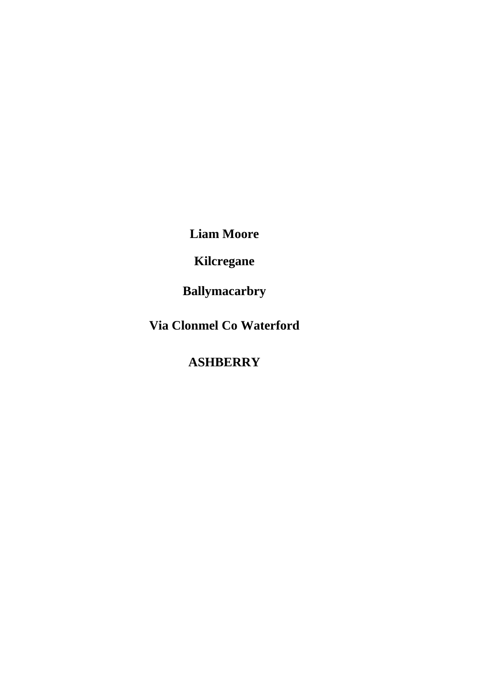**Liam Moore**

**Kilcregane**

**Ballymacarbry**

**Via Clonmel Co Waterford**

**ASHBERRY**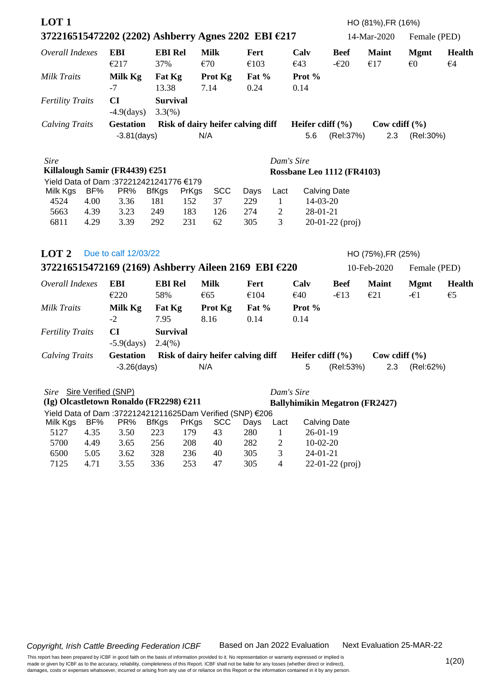| LOT <sub>1</sub>         |      |                                                           |                              |       |                                   |                 |                |                            |                       | HO (81%), FR (16%)                    |                                        |                               |
|--------------------------|------|-----------------------------------------------------------|------------------------------|-------|-----------------------------------|-----------------|----------------|----------------------------|-----------------------|---------------------------------------|----------------------------------------|-------------------------------|
|                          |      | 372216515472202 (2202) Ashberry Agnes 2202 EBI €217       |                              |       |                                   |                 |                |                            |                       | 14-Mar-2020                           | Female (PED)                           |                               |
| Overall Indexes          |      | <b>EBI</b><br>€217                                        | <b>EBI Rel</b><br>37%        |       | <b>Milk</b><br>€70                | Fert<br>€103    |                | Calv<br>€43                | <b>Beef</b><br>$-620$ | <b>Maint</b><br>€17                   | <b>Mgmt</b><br>$\epsilon$ <sup>0</sup> | <b>Health</b><br>$\epsilon$ 4 |
| <b>Milk Traits</b>       |      | Milk Kg<br>$-7$                                           | Fat Kg<br>13.38              |       | Prot Kg<br>7.14                   | Fat $%$<br>0.24 |                | Prot %<br>0.14             |                       |                                       |                                        |                               |
| <b>Fertility Traits</b>  |      | CI<br>$-4.9$ (days)                                       | <b>Survival</b><br>$3.3(\%)$ |       |                                   |                 |                |                            |                       |                                       |                                        |                               |
| <b>Calving Traits</b>    |      | <b>Gestation</b>                                          |                              |       | Risk of dairy heifer calving diff |                 |                | Heifer cdiff $(\% )$       |                       | Cow cdiff $(\% )$                     |                                        |                               |
|                          |      | $-3.81$ (days)                                            |                              |       | N/A                               |                 |                | 5.6                        | (Rel:37%)             | 2.3                                   | (Rel:30%)                              |                               |
| <b>Sire</b>              |      |                                                           |                              |       |                                   |                 | Dam's Sire     |                            |                       |                                       |                                        |                               |
|                          |      | Killalough Samir (FR4439) €251                            |                              |       |                                   |                 |                | Rossbane Leo 1112 (FR4103) |                       |                                       |                                        |                               |
|                          |      | Yield Data of Dam :372212421241776 €179                   |                              |       |                                   |                 |                |                            |                       |                                       |                                        |                               |
| Milk Kgs                 | BF%  | PR%                                                       | <b>BfKgs</b>                 | PrKgs | <b>SCC</b>                        | Days            | Lact           | <b>Calving Date</b>        |                       |                                       |                                        |                               |
| 4524                     | 4.00 | 3.36                                                      | 181                          | 152   | 37                                | 229             | $\mathbf{1}$   | 14-03-20                   |                       |                                       |                                        |                               |
| 5663                     | 4.39 | 3.23                                                      | 249                          | 183   | 126                               | 274             | $\overline{2}$ | 28-01-21                   |                       |                                       |                                        |                               |
| 6811                     | 4.29 | 3.39                                                      | 292                          | 231   | 62                                | 305             | 3              |                            | $20-01-22$ (proj)     |                                       |                                        |                               |
| LOT <sub>2</sub>         |      | Due to calf 12/03/22                                      |                              |       |                                   |                 |                |                            |                       | HO (75%), FR (25%)                    |                                        |                               |
|                          |      | 372216515472169 (2169) Ashberry Aileen 2169 EBI €220      |                              |       |                                   |                 |                |                            |                       | 10-Feb-2020                           | Female (PED)                           |                               |
| Overall Indexes          |      | <b>EBI</b>                                                | <b>EBI Rel</b>               |       | <b>Milk</b>                       | Fert            |                | Calv                       | <b>Beef</b>           | <b>Maint</b>                          | <b>Mgmt</b>                            | <b>Health</b>                 |
|                          |      | €220                                                      | 58%                          |       | €65                               | €104            |                | €40                        | $-\epsilon$ 13        | E21                                   | $-\epsilon$ 1                          | $\epsilon$ <sub>5</sub>       |
| <b>Milk Traits</b>       |      | Milk Kg                                                   | Fat Kg                       |       | Prot Kg                           | Fat $%$         |                | Prot %                     |                       |                                       |                                        |                               |
|                          |      | $-2$                                                      | 7.95                         |       | 8.16                              | 0.14            |                | 0.14                       |                       |                                       |                                        |                               |
| <b>Fertility Traits</b>  |      | CI                                                        | <b>Survival</b>              |       |                                   |                 |                |                            |                       |                                       |                                        |                               |
|                          |      | $-5.9$ (days)                                             | $2.4(\%)$                    |       |                                   |                 |                |                            |                       |                                       |                                        |                               |
| <b>Calving Traits</b>    |      | <b>Gestation</b>                                          |                              |       | Risk of dairy heifer calving diff |                 |                | Heifer cdiff $(\% )$       |                       | Cow cdiff $(\% )$                     |                                        |                               |
|                          |      | $-3.26$ (days)                                            |                              |       | N/A                               |                 |                | 5                          | (Rel:53%)             | 2.3                                   | (Rel:62%)                              |                               |
|                          |      |                                                           |                              |       |                                   |                 |                |                            |                       |                                       |                                        |                               |
| Sire Sire Verified (SNP) |      |                                                           |                              |       |                                   |                 |                | Dam's Sire                 |                       |                                       |                                        |                               |
|                          |      | (Ig) Olcastletown Ronaldo (FR2298) €211                   |                              |       |                                   |                 |                |                            |                       | <b>Ballyhimikin Megatron (FR2427)</b> |                                        |                               |
|                          |      | Yield Data of Dam :372212421211625Dam Verified (SNP) €206 |                              |       |                                   |                 |                |                            |                       |                                       |                                        |                               |
| Milk Kgs                 | BF%  | PR%                                                       | <b>BfKgs</b>                 | PrKgs | <b>SCC</b>                        | Days            | Lact           | <b>Calving Date</b>        |                       |                                       |                                        |                               |
| 5127                     | 4.35 | 3.50                                                      | 223                          | 179   | 43                                | 280             | $\mathbf{1}$   | $26 - 01 - 19$             |                       |                                       |                                        |                               |
| 5700                     | 4.49 | 3.65                                                      | 256                          | 208   | 40                                | 282             | $\mathbf{2}$   | $10 - 02 - 20$             |                       |                                       |                                        |                               |
| 6500                     | 5.05 | 3.62                                                      | 328                          | 236   | 40                                | 305             | 3              | $24-01-21$                 |                       |                                       |                                        |                               |
| 7125                     | 4.71 | 3.55                                                      | 336                          | 253   | 47                                | 305             | $\overline{4}$ |                            | $22-01-22$ (proj)     |                                       |                                        |                               |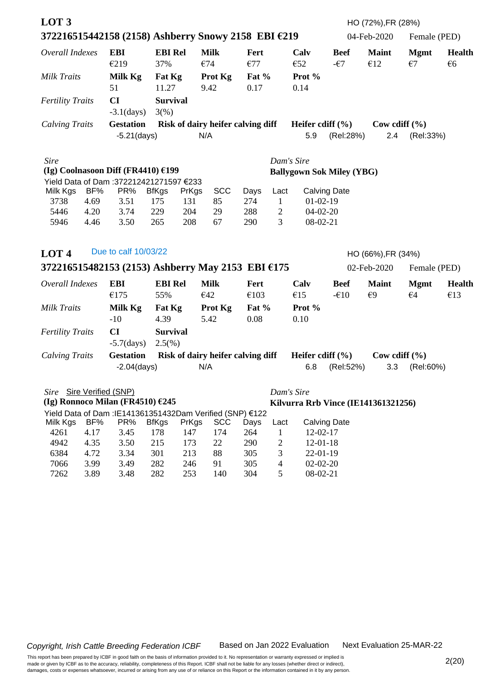| LOT <sub>3</sub>                                    |              |                                                           |                     |              |                                   |             |                      |                            |                                  | HO (72%), FR (28%)                  |              |               |
|-----------------------------------------------------|--------------|-----------------------------------------------------------|---------------------|--------------|-----------------------------------|-------------|----------------------|----------------------------|----------------------------------|-------------------------------------|--------------|---------------|
| 372216515442158 (2158) Ashberry Snowy 2158 EBI €219 |              |                                                           |                     |              |                                   |             |                      |                            |                                  | 04-Feb-2020                         | Female (PED) |               |
| Overall Indexes                                     |              | <b>EBI</b>                                                | <b>EBI Rel</b>      |              | <b>Milk</b>                       | <b>Fert</b> |                      | Calv                       | <b>Beef</b>                      | <b>Maint</b>                        | <b>Mgmt</b>  | <b>Health</b> |
|                                                     |              | €219                                                      | 37%                 |              | €74                               | €77         |                      | €52                        | $-\epsilon$ 7                    | €12                                 | $\epsilon$ 7 | €6            |
| <b>Milk Traits</b>                                  |              | Milk Kg                                                   | Fat Kg              |              | Prot Kg                           | Fat $%$     |                      | Prot %                     |                                  |                                     |              |               |
|                                                     |              | 51                                                        | 11.27               |              | 9.42                              | 0.17        |                      | 0.14                       |                                  |                                     |              |               |
| <b>Fertility Traits</b>                             |              | CI                                                        | <b>Survival</b>     |              |                                   |             |                      |                            |                                  |                                     |              |               |
|                                                     |              | $-3.1$ (days)                                             | 3(%)                |              |                                   |             |                      |                            |                                  |                                     |              |               |
| <b>Calving Traits</b>                               |              | <b>Gestation</b>                                          |                     |              | Risk of dairy heifer calving diff |             |                      | Heifer cdiff $(\% )$       |                                  | Cow cdiff $(\% )$                   |              |               |
|                                                     |              | $-5.21$ (days)                                            |                     |              | N/A                               |             |                      | 5.9                        | (Rel:28%)                        | 2.4                                 | (Rel:33%)    |               |
| <b>Sire</b>                                         |              |                                                           |                     |              |                                   |             |                      | Dam's Sire                 |                                  |                                     |              |               |
| (Ig) Coolnasoon Diff (FR4410) $£199$                |              |                                                           |                     |              |                                   |             |                      |                            | <b>Ballygown Sok Miley (YBG)</b> |                                     |              |               |
|                                                     |              | Yield Data of Dam :372212421271597 €233                   |                     |              |                                   |             |                      |                            |                                  |                                     |              |               |
| Milk Kgs<br>3738                                    | BF%<br>4.69  | PR%<br>3.51                                               | <b>BfKgs</b><br>175 | PrKgs<br>131 | <b>SCC</b><br>85                  | Days<br>274 | Lact<br>$\mathbf{1}$ | $01-02-19$                 | <b>Calving Date</b>              |                                     |              |               |
| 5446                                                | 4.20         | 3.74                                                      | 229                 | 204          | 29                                | 288         | $\overline{c}$       | $04-02-20$                 |                                  |                                     |              |               |
| 5946                                                | 4.46         | 3.50                                                      | 265                 | 208          | 67                                | 290         | 3                    | $08-02-21$                 |                                  |                                     |              |               |
|                                                     |              |                                                           |                     |              |                                   |             |                      |                            |                                  |                                     |              |               |
| LOT <sub>4</sub>                                    |              | Due to calf 10/03/22                                      |                     |              |                                   |             |                      |                            |                                  | HO (66%), FR (34%)                  |              |               |
| 372216515482153 (2153) Ashberry May 2153 EBI $6175$ |              |                                                           |                     |              |                                   |             |                      |                            |                                  | 02-Feb-2020                         | Female (PED) |               |
| Overall Indexes                                     |              | <b>EBI</b>                                                | <b>EBI Rel</b>      |              | <b>Milk</b>                       | Fert        |                      | Calv                       | <b>Beef</b>                      | <b>Maint</b>                        | <b>Mgmt</b>  | <b>Health</b> |
|                                                     |              | €175                                                      | 55%                 |              | €42                               | €103        |                      | €15                        | $-610$                           | $\epsilon$ 9                        | $\epsilon$ 4 | €13           |
| <b>Milk Traits</b>                                  |              | Milk Kg                                                   | Fat Kg              |              | Prot Kg                           | Fat $%$     |                      | Prot %                     |                                  |                                     |              |               |
|                                                     |              | $-10$                                                     | 4.39                |              | 5.42                              | 0.08        |                      | 0.10                       |                                  |                                     |              |               |
| <b>Fertility Traits</b>                             |              | CI                                                        | <b>Survival</b>     |              |                                   |             |                      |                            |                                  |                                     |              |               |
|                                                     |              | $-5.7$ (days)                                             | $2.5(\%)$           |              |                                   |             |                      |                            |                                  |                                     |              |               |
| <b>Calving Traits</b>                               |              | <b>Gestation</b>                                          |                     |              | Risk of dairy heifer calving diff |             |                      | Heifer cdiff $(\% )$       |                                  | Cow cdiff $(\% )$                   |              |               |
|                                                     |              | $-2.04$ (days)                                            |                     |              | N/A                               |             |                      | 6.8                        | (Rel:52%)                        | 3.3                                 | (Rel:60%)    |               |
|                                                     |              |                                                           |                     |              |                                   |             |                      |                            |                                  |                                     |              |               |
| Sire Sire Verified (SNP)                            |              |                                                           |                     |              |                                   |             |                      | Dam's Sire                 |                                  |                                     |              |               |
| (Ig) Ronnoco Milan (FR4510) $£245$                  |              |                                                           |                     |              |                                   |             |                      |                            |                                  | Kilvurra Rrb Vince (IE141361321256) |              |               |
|                                                     |              | Yield Data of Dam : IE141361351432Dam Verified (SNP) €122 |                     |              |                                   |             |                      |                            |                                  |                                     |              |               |
| Milk Kgs                                            | BF%          | PR%                                                       | <b>BfKgs</b>        | PrKgs        | <b>SCC</b>                        | Days        | Lact                 |                            | <b>Calving Date</b>              |                                     |              |               |
| 4261                                                | 4.17         | 3.45                                                      | 178                 | 147          | 174                               | 264         | $\mathbf{1}$         | $12-02-17$                 |                                  |                                     |              |               |
| 4942<br>6384                                        | 4.35<br>4.72 | 3.50<br>3.34                                              | 215<br>301          | 173<br>213   | 22<br>88                          | 290<br>305  | $\overline{2}$<br>3  | $12 - 01 - 18$<br>22-01-19 |                                  |                                     |              |               |
| 7066                                                | 3.99         | 3.49                                                      | 282                 | 246          | 91                                | 305         | $\overline{4}$       | $02 - 02 - 20$             |                                  |                                     |              |               |
| 7262                                                | 3.89         | 3.48                                                      | 282                 | 253          | 140                               | 304         | 5                    | 08-02-21                   |                                  |                                     |              |               |
|                                                     |              |                                                           |                     |              |                                   |             |                      |                            |                                  |                                     |              |               |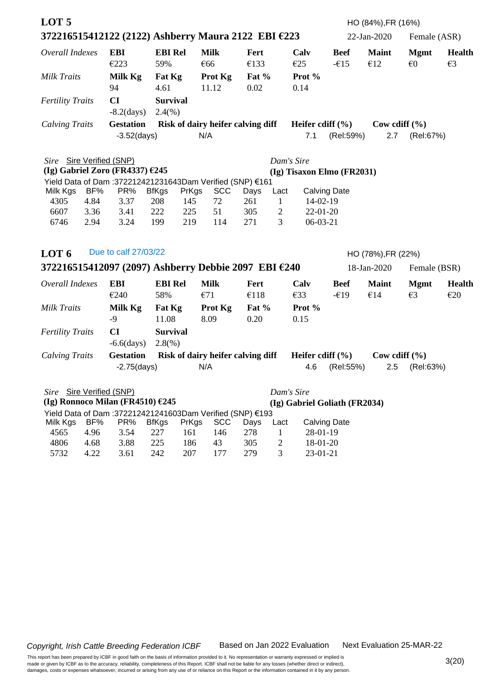| 372216515412122 (2122) Ashberry Maura 2122 EBI €223<br>22-Jan-2020<br>Female (ASR)<br><b>Milk</b><br>Overall Indexes<br><b>EBI</b><br><b>EBI Rel</b><br>Calv<br><b>Beef</b><br><b>Maint</b><br>Fert<br><b>Mgmt</b> |                               |
|--------------------------------------------------------------------------------------------------------------------------------------------------------------------------------------------------------------------|-------------------------------|
|                                                                                                                                                                                                                    |                               |
| €66<br>€133<br>E25<br>€12<br>$\epsilon$ <sup>0</sup><br>E223<br>59%<br>$-615$                                                                                                                                      | <b>Health</b><br>$\epsilon$ 3 |
| <b>Milk Traits</b><br>Milk Kg<br>Fat Kg<br>Prot Kg<br>Fat $%$<br>Prot %                                                                                                                                            |                               |
| 94<br>4.61<br>11.12<br>0.02<br>0.14                                                                                                                                                                                |                               |
| CI<br><b>Survival</b><br><b>Fertility Traits</b>                                                                                                                                                                   |                               |
| $-8.2$ (days)<br>2.4(%)                                                                                                                                                                                            |                               |
| <b>Gestation</b><br>Risk of dairy heifer calving diff<br>Heifer cdiff $(\% )$<br><b>Calving Traits</b><br>Cow cdiff $(\% )$                                                                                        |                               |
| $-3.52$ (days)<br>N/A<br>7.1<br>(Rel:59%)<br>2.7<br>(Rel:67%)                                                                                                                                                      |                               |
| Sire Sire Verified (SNP)<br>Dam's Sire                                                                                                                                                                             |                               |
| (Ig) Gabriel Zoro (FR4337) $£245$<br>(Ig) Tisaxon Elmo (FR2031)                                                                                                                                                    |                               |
| Yield Data of Dam :372212421231643Dam Verified (SNP) €161<br>BF%<br>PR%<br><b>SCC</b>                                                                                                                              |                               |
| <b>BfKgs</b><br>PrKgs<br><b>Calving Date</b><br>Milk Kgs<br>Days<br>Lact<br>4305<br>4.84<br>72<br>$\mathbf{1}$<br>14-02-19<br>3.37<br>208<br>145<br>261                                                            |                               |
| 51<br>$22 - 01 - 20$<br>6607<br>3.36<br>3.41<br>222<br>225<br>305<br>$\overline{2}$                                                                                                                                |                               |
| 219<br>3<br>$06-03-21$<br>6746<br>2.94<br>3.24<br>199<br>114<br>271                                                                                                                                                |                               |
|                                                                                                                                                                                                                    |                               |
| Due to calf 27/03/22<br>LOT <sub>6</sub><br>HO (78%), FR (22%)                                                                                                                                                     |                               |
| 372216515412097 (2097) Ashberry Debbie 2097 EBI €240<br>18-Jan-2020<br>Female (BSR)                                                                                                                                |                               |
| <b>EBI</b><br><b>EBI Rel</b><br><b>Milk</b><br>Overall Indexes<br>Calv<br><b>Beef</b><br><b>Maint</b><br><b>Mgmt</b><br>Fert                                                                                       | <b>Health</b>                 |
| €14<br>$\epsilon$ 3<br>€240<br>58%<br>€71<br>€118<br>E33<br>$-\epsilon$ 19                                                                                                                                         | E20                           |
| Prot %<br>Milk Kg<br>Prot Kg<br>Fat $%$<br><b>Milk Traits</b><br>Fat Kg                                                                                                                                            |                               |
| $-9$<br>11.08<br>8.09<br>0.20<br>0.15                                                                                                                                                                              |                               |
| CI<br><b>Survival</b><br><b>Fertility Traits</b>                                                                                                                                                                   |                               |
| $-6.6$ $\frac{days}{}$<br>$2.8(\%)$                                                                                                                                                                                |                               |
| <b>Gestation</b><br>Risk of dairy heifer calving diff<br>Heifer cdiff $(\% )$<br>Cow cdiff $(\% )$<br><b>Calving Traits</b>                                                                                        |                               |
| N/A<br>$-2.75$ (days)<br>4.6<br>(Rel:55%)<br>2.5<br>(Rel:63%)                                                                                                                                                      |                               |
| Sire Sire Verified (SNP)<br>Dam's Sire                                                                                                                                                                             |                               |
| (Ig) Ronnoco Milan (FR4510) $£245$<br>(Ig) Gabriel Goliath (FR2034)                                                                                                                                                |                               |
| Yield Data of Dam :372212421241603Dam Verified (SNP) €193                                                                                                                                                          |                               |
| BF%<br>PR%<br><b>BfKgs</b><br>PrKgs<br><b>SCC</b><br><b>Calving Date</b><br>Milk Kgs<br>Days<br>Lact<br>227<br>4565<br>4.96<br>3.54<br>161<br>146<br>278<br>28-01-19                                               |                               |
| $\mathbf{1}$<br>43<br>4806<br>4.68<br>3.88<br>225<br>305<br>2<br>18-01-20<br>186                                                                                                                                   |                               |
| 242<br>3<br>$23 - 01 - 21$<br>5732<br>4.22<br>3.61<br>207<br>177<br>279                                                                                                                                            |                               |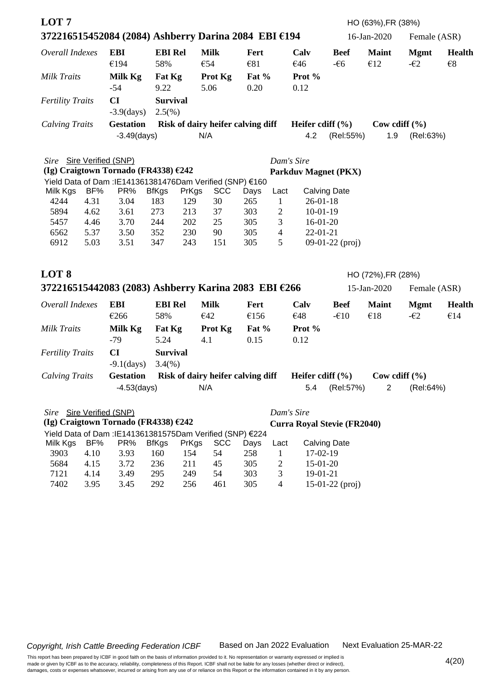| LOT <sub>7</sub>                                                         |      |                                                           |                       |       |                                   |                 |                |                                    |                      | HO (63%), FR (38%)                |                              |                               |
|--------------------------------------------------------------------------|------|-----------------------------------------------------------|-----------------------|-------|-----------------------------------|-----------------|----------------|------------------------------------|----------------------|-----------------------------------|------------------------------|-------------------------------|
| 372216515452084 (2084) Ashberry Darina 2084 EBI €194                     |      |                                                           |                       |       |                                   |                 |                |                                    |                      | 16-Jan-2020                       | Female (ASR)                 |                               |
| Overall Indexes                                                          |      | <b>EBI</b><br>€194                                        | <b>EBI Rel</b><br>58% |       | <b>Milk</b><br>€54                | Fert<br>€81     |                | Calv<br>€46                        | <b>Beef</b><br>$-66$ | <b>Maint</b><br>€12               | <b>Mgmt</b><br>$-\epsilon$ 2 | <b>Health</b><br>$\epsilon$ 8 |
| Milk Traits                                                              |      | Milk Kg<br>$-54$                                          | Fat Kg<br>9.22        |       | Prot Kg<br>5.06                   | Fat $%$<br>0.20 |                | Prot %<br>0.12                     |                      |                                   |                              |                               |
|                                                                          |      |                                                           |                       |       |                                   |                 |                |                                    |                      |                                   |                              |                               |
| <b>Fertility Traits</b>                                                  |      | CI<br>$-3.9$ (days)                                       | <b>Survival</b>       |       |                                   |                 |                |                                    |                      |                                   |                              |                               |
|                                                                          |      | <b>Gestation</b>                                          | $2.5(\%)$             |       | Risk of dairy heifer calving diff |                 |                | Heifer cdiff $(\% )$               |                      | Cow cdiff $(\% )$                 |                              |                               |
| <b>Calving Traits</b>                                                    |      | $-3.49$ (days)                                            |                       |       | N/A                               |                 |                | 4.2                                | (Rel:55%)            | 1.9                               | (Rel:63%)                    |                               |
|                                                                          |      |                                                           |                       |       |                                   |                 |                |                                    |                      |                                   |                              |                               |
| Sire Sire Verified (SNP)                                                 |      |                                                           |                       |       |                                   |                 |                | Dam's Sire                         |                      |                                   |                              |                               |
| (Ig) Craigtown Tornado (FR4338) €242                                     |      |                                                           |                       |       |                                   |                 |                | <b>Parkduv Magnet (PKX)</b>        |                      |                                   |                              |                               |
| Yield Data of Dam : IE141361381476Dam Verified (SNP) €160                |      |                                                           |                       |       |                                   |                 |                |                                    |                      |                                   |                              |                               |
| Milk Kgs                                                                 | BF%  | PR%                                                       | <b>BfKgs</b>          | PrKgs | <b>SCC</b>                        | Days            | Lact           |                                    | <b>Calving Date</b>  |                                   |                              |                               |
| 4244                                                                     | 4.31 | 3.04                                                      | 183                   | 129   | 30                                | 265             | $\mathbf{1}$   | $26 - 01 - 18$                     |                      |                                   |                              |                               |
| 5894                                                                     | 4.62 | 3.61                                                      | 273                   | 213   | 37                                | 303             | $\overline{c}$ | $10-01-19$                         |                      |                                   |                              |                               |
| 5457                                                                     | 4.46 | 3.70                                                      | 244                   | 202   | 25                                | 305             | 3              | $16-01-20$                         |                      |                                   |                              |                               |
| 6562                                                                     | 5.37 | 3.50                                                      | 352                   | 230   | 90                                | 305             | $\overline{4}$ | $22 - 01 - 21$                     |                      |                                   |                              |                               |
| 6912                                                                     | 5.03 | 3.51                                                      | 347                   | 243   | 151                               | 305             | 5              |                                    | $09-01-22$ (proj)    |                                   |                              |                               |
| LOT <sub>8</sub><br>372216515442083 (2083) Ashberry Karina 2083 EBI €266 |      |                                                           |                       |       |                                   |                 |                |                                    |                      | HO (72%), FR (28%)<br>15-Jan-2020 | Female (ASR)                 |                               |
| Overall Indexes                                                          |      | <b>EBI</b>                                                | <b>EBI Rel</b>        |       | <b>Milk</b>                       | Fert            |                | Calv                               | <b>Beef</b>          | <b>Maint</b>                      | <b>Mgmt</b>                  | <b>Health</b>                 |
|                                                                          |      | €266                                                      | 58%                   |       | €42                               | €156            |                | €48                                | $-610$               | €18                               | $-\epsilon$ 2                | €14                           |
|                                                                          |      |                                                           |                       |       |                                   |                 |                |                                    |                      |                                   |                              |                               |
| Milk Traits                                                              |      | Milk Kg                                                   | Fat Kg                |       | <b>Prot Kg</b>                    | Fat $%$         |                | Prot %                             |                      |                                   |                              |                               |
|                                                                          |      | $-79$                                                     | 5.24                  |       | 4.1                               | 0.15            |                | 0.12                               |                      |                                   |                              |                               |
| <b>Fertility Traits</b>                                                  |      | CI                                                        | <b>Survival</b>       |       |                                   |                 |                |                                    |                      |                                   |                              |                               |
|                                                                          |      | $-9.1$ (days)                                             | 3.4%                  |       |                                   |                 |                |                                    |                      |                                   |                              |                               |
| <b>Calving Traits</b>                                                    |      | <b>Gestation</b>                                          |                       |       | Risk of dairy heifer calving diff |                 |                | Heifer cdiff $(\% )$               |                      |                                   | Cow cdiff $(\% )$            |                               |
|                                                                          |      | $-4.53$ (days)                                            |                       |       | N/A                               |                 |                | 5.4                                | (Rel:57%)            | $\overline{2}$                    | (Rel:64%)                    |                               |
| Sire Sire Verified (SNP)                                                 |      |                                                           |                       |       |                                   |                 |                | Dam's Sire                         |                      |                                   |                              |                               |
| (Ig) Craigtown Tornado (FR4338) €242                                     |      |                                                           |                       |       |                                   |                 |                | <b>Curra Royal Stevie (FR2040)</b> |                      |                                   |                              |                               |
|                                                                          |      | Yield Data of Dam : IE141361381575Dam Verified (SNP) €224 |                       |       |                                   |                 |                |                                    |                      |                                   |                              |                               |
| Milk Kgs                                                                 | BF%  | PR%                                                       | <b>BfKgs</b>          | PrKgs | <b>SCC</b>                        | Days            | Lact           |                                    | <b>Calving Date</b>  |                                   |                              |                               |
| 3903                                                                     | 4.10 | 3.93                                                      | 160                   | 154   | 54                                | 258             | 1              | 17-02-19                           |                      |                                   |                              |                               |
| 5684                                                                     | 4.15 | 3.72                                                      | 236                   | 211   | 45                                | 305             | $\overline{c}$ | 15-01-20                           |                      |                                   |                              |                               |
| 7121                                                                     | 4.14 | 3.49                                                      | 295                   | 249   | 54                                | 303             | 3              | 19-01-21                           |                      |                                   |                              |                               |
| 7402                                                                     | 3.95 | 3.45                                                      | 292                   | 256   | 461                               | 305             | $\overline{4}$ |                                    | $15-01-22$ (proj)    |                                   |                              |                               |
|                                                                          |      |                                                           |                       |       |                                   |                 |                |                                    |                      |                                   |                              |                               |

Next Evaluation 25-MAR-22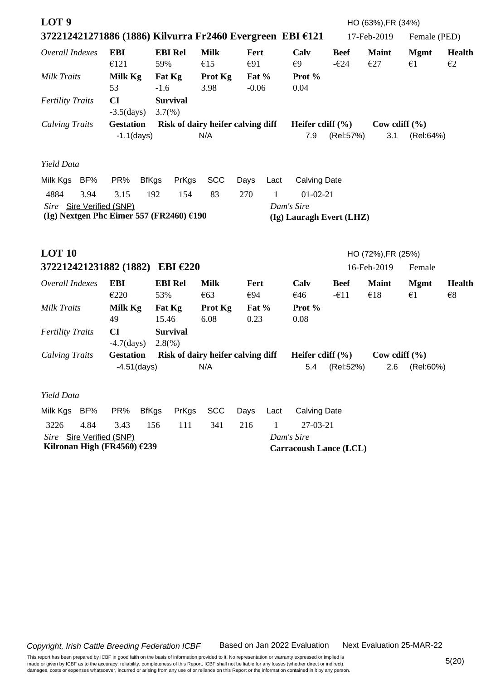| LOT <sub>9</sub><br>372212421271886 (1886) Kilvurra Fr2460 Evergreen EBI €121 |                                   |                                   |                    |                  |      |                                        |                               | HO (63%), FR (34%)<br>17-Feb-2019 | Female (PED)                |                               |
|-------------------------------------------------------------------------------|-----------------------------------|-----------------------------------|--------------------|------------------|------|----------------------------------------|-------------------------------|-----------------------------------|-----------------------------|-------------------------------|
| Overall Indexes                                                               | <b>EBI</b><br>€121                | <b>EBI Rel</b><br>59%             | <b>Milk</b><br>€15 | Fert<br>€91      |      | Calv<br>$\epsilon$ 9                   | <b>Beef</b><br>$-\epsilon$ 24 | <b>Maint</b><br>E27               | <b>Mgmt</b><br>$\epsilon$ 1 | <b>Health</b><br>$\epsilon$ 2 |
| <b>Milk Traits</b>                                                            | Milk Kg<br>53                     | Fat Kg<br>$-1.6$                  | Prot Kg<br>3.98    | Fat %<br>$-0.06$ |      | Prot %<br>0.04                         |                               |                                   |                             |                               |
| <b>Fertility Traits</b>                                                       | CI<br>$-3.5$ (days)               | <b>Survival</b><br>$3.7(\%)$      |                    |                  |      |                                        |                               |                                   |                             |                               |
| <b>Calving Traits</b>                                                         | <b>Gestation</b>                  | Risk of dairy heifer calving diff |                    |                  |      | Heifer cdiff $(\% )$                   |                               | Cow cdiff $(\% )$                 |                             |                               |
|                                                                               | $-1.1$ (days)                     |                                   | N/A                |                  |      | 7.9                                    | (Rel:57%)                     | 3.1                               | (Rel:64%)                   |                               |
| Yield Data                                                                    |                                   |                                   |                    |                  |      |                                        |                               |                                   |                             |                               |
| Milk Kgs<br>BF%                                                               | PR%                               | <b>BfKgs</b><br>PrKgs             | <b>SCC</b>         | Days             | Lact | <b>Calving Date</b>                    |                               |                                   |                             |                               |
| 4884<br>3.94                                                                  | 3.15                              | 192<br>154                        | 83                 | 270              | 1    | $01-02-21$                             |                               |                                   |                             |                               |
| Sire Sire Verified (SNP)<br>(Ig) Nextgen Phc Eimer 557 (FR2460) €190          |                                   |                                   |                    |                  |      | Dam's Sire<br>(Ig) Lauragh Evert (LHZ) |                               |                                   |                             |                               |
|                                                                               |                                   |                                   |                    |                  |      |                                        |                               |                                   |                             |                               |
|                                                                               |                                   |                                   |                    |                  |      |                                        |                               |                                   |                             |                               |
| <b>LOT 10</b>                                                                 |                                   |                                   |                    |                  |      |                                        |                               | HO (72%), FR (25%)                |                             |                               |
| 372212421231882 (1882)                                                        |                                   | EBI $\epsilon$ 220                |                    |                  |      |                                        |                               | 16-Feb-2019                       | Female                      |                               |
| Overall Indexes                                                               | <b>EBI</b>                        | <b>EBI Rel</b>                    | <b>Milk</b>        | Fert             |      | Calv                                   | <b>Beef</b>                   | <b>Maint</b>                      | <b>Mgmt</b>                 | <b>Health</b>                 |
|                                                                               | €220                              | 53%                               | €63                | €94              |      | €46                                    | $-\epsilon$ 11                | €18                               | $\epsilon$ 1                | $\epsilon$ 8                  |
| <b>Milk Traits</b>                                                            | Milk Kg                           | Fat Kg                            | Prot Kg            | Fat %            |      | Prot %                                 |                               |                                   |                             |                               |
|                                                                               | 49                                | 15.46                             | 6.08               | 0.23             |      | 0.08                                   |                               |                                   |                             |                               |
| <b>Fertility Traits</b>                                                       | CI                                | <b>Survival</b>                   |                    |                  |      |                                        |                               |                                   |                             |                               |
|                                                                               | $-4.7$ (days)<br><b>Gestation</b> | $2.8(\%)$                         |                    |                  |      | Heifer cdiff $(\% )$                   |                               |                                   |                             |                               |
| <b>Calving Traits</b>                                                         | $-4.51$ (days)                    | Risk of dairy heifer calving diff | N/A                |                  |      | 5.4                                    | (Rel:52%)                     | Cow cdiff $(\% )$<br>2.6          | (Rel:60%)                   |                               |
|                                                                               |                                   |                                   |                    |                  |      |                                        |                               |                                   |                             |                               |
| Yield Data                                                                    |                                   |                                   |                    |                  |      |                                        |                               |                                   |                             |                               |
| Milk Kgs BF%                                                                  | PR%                               | <b>BfKgs</b><br>PrKgs             | <b>SCC</b>         | Days             | Lact | <b>Calving Date</b>                    |                               |                                   |                             |                               |
| 3226<br>4.84                                                                  | 3.43                              | 156<br>111                        | 341                | 216              | 1    | $27-03-21$                             |                               |                                   |                             |                               |
| Sire Sire Verified (SNP)                                                      |                                   |                                   |                    |                  |      | Dam's Sire                             |                               |                                   |                             |                               |
| Kilronan High (FR4560) €239                                                   |                                   |                                   |                    |                  |      | <b>Carracoush Lance (LCL)</b>          |                               |                                   |                             |                               |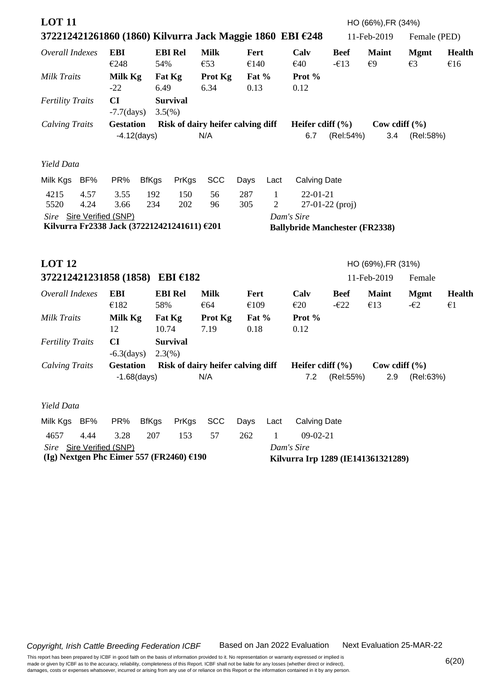| <b>LOT 11</b>                                                           |                     |                |                 |                                          |                 |                   |                                                     |                               | HO (66%), FR (34%)     |                              |                               |
|-------------------------------------------------------------------------|---------------------|----------------|-----------------|------------------------------------------|-----------------|-------------------|-----------------------------------------------------|-------------------------------|------------------------|------------------------------|-------------------------------|
| 372212421261860 (1860) Kilvurra Jack Maggie 1860 EBI €248               |                     |                |                 |                                          |                 |                   |                                                     |                               | 11-Feb-2019            | Female (PED)                 |                               |
| Overall Indexes                                                         | <b>EBI</b><br>€248  | 54%            | <b>EBI Rel</b>  | <b>Milk</b><br>€53                       | Fert<br>€140    |                   | Calv<br>€40                                         | <b>Beef</b><br>$-\epsilon$ 13 | <b>Maint</b><br>€9     | <b>Mgmt</b><br>E3            | <b>Health</b><br>€16          |
| <b>Milk Traits</b>                                                      | Milk Kg<br>$-22$    | 6.49           | Fat Kg          | Prot Kg<br>6.34                          | Fat $%$<br>0.13 |                   | Prot %<br>0.12                                      |                               |                        |                              |                               |
| <b>Fertility Traits</b>                                                 | CI<br>$-7.7$ (days) | $3.5(\%)$      | <b>Survival</b> |                                          |                 |                   |                                                     |                               |                        |                              |                               |
| <b>Calving Traits</b>                                                   | <b>Gestation</b>    | $-4.12$ (days) |                 | Risk of dairy heifer calving diff<br>N/A |                 |                   | Heifer cdiff $(\% )$<br>6.7                         | (Rel:54%)                     | Cow cdiff $(\%$<br>3.4 | (Rel:58%)                    |                               |
| Yield Data                                                              |                     |                |                 |                                          |                 |                   |                                                     |                               |                        |                              |                               |
| Milk Kgs<br>BF%                                                         | PR%                 | <b>BfKgs</b>   | PrKgs           | <b>SCC</b>                               | Days            | Lact              | <b>Calving Date</b>                                 |                               |                        |                              |                               |
| 4215<br>4.57<br>5520<br>4.24                                            | 3.55<br>3.66        | 192<br>234     | 150<br>202      | 56<br>96                                 | 287<br>305      | $\mathbf{1}$<br>2 | $22 - 01 - 21$                                      | 27-01-22 (proj)               |                        |                              |                               |
| Sire Sire Verified (SNP)<br>Kilvurra Fr2338 Jack (372212421241611) €201 |                     |                |                 |                                          |                 |                   | Dam's Sire<br><b>Ballybride Manchester (FR2338)</b> |                               |                        |                              |                               |
| <b>LOT 12</b>                                                           |                     |                |                 |                                          |                 |                   |                                                     |                               | HO (69%), FR (31%)     |                              |                               |
| 372212421231858 (1858) EBI €182                                         |                     |                |                 |                                          |                 |                   |                                                     |                               | 11-Feb-2019            | Female                       |                               |
| Overall Indexes                                                         | <b>EBI</b><br>€182  | 58%            | <b>EBI Rel</b>  | <b>Milk</b><br>€64                       | Fert<br>€109    |                   | Calv<br>E20                                         | <b>Beef</b><br>$-\epsilon$ 22 | <b>Maint</b><br>€13    | <b>Mgmt</b><br>$-\epsilon$ 2 | <b>Health</b><br>$\epsilon$ 1 |
| <b>Milk Traits</b>                                                      | Milk Kg<br>12       | 10.74          | Fat Kg          | Prot Kg<br>7.19                          | Fat $%$<br>0.18 |                   | Prot %<br>0.12                                      |                               |                        |                              |                               |
| <b>Fertility Traits</b>                                                 | CI<br>$-6.3$ (days) | $2.3(\%)$      | <b>Survival</b> |                                          |                 |                   |                                                     |                               |                        |                              |                               |
| <b>Calving Traits</b>                                                   | <b>Gestation</b>    | $-1.68$ (days) |                 | Risk of dairy heifer calving diff<br>N/A |                 |                   | Heifer cdiff $(\% )$<br>7.2                         | (Rel:55%)                     | Cow cdiff $(\%$<br>2.9 | (Rel:63%)                    |                               |
| Yield Data                                                              |                     |                |                 |                                          |                 |                   |                                                     |                               |                        |                              |                               |
| BF%<br>Milk Kgs                                                         | PR%                 | <b>BfKgs</b>   | PrKgs           | <b>SCC</b>                               | Days            | Lact              | <b>Calving Date</b>                                 |                               |                        |                              |                               |
| 4657<br>4.44                                                            | 3.28                | 207            | 153             | 57                                       | 262             | 1                 | $09-02-21$                                          |                               |                        |                              |                               |
| Sire Sire Verified (SNP)<br>(Ig) Nextgen Phc Eimer 557 (FR2460) $£190$  |                     |                |                 |                                          |                 |                   | Dam's Sire<br>Kilvurra Irp 1289 (IE141361321289)    |                               |                        |                              |                               |

Next Evaluation 25-MAR-22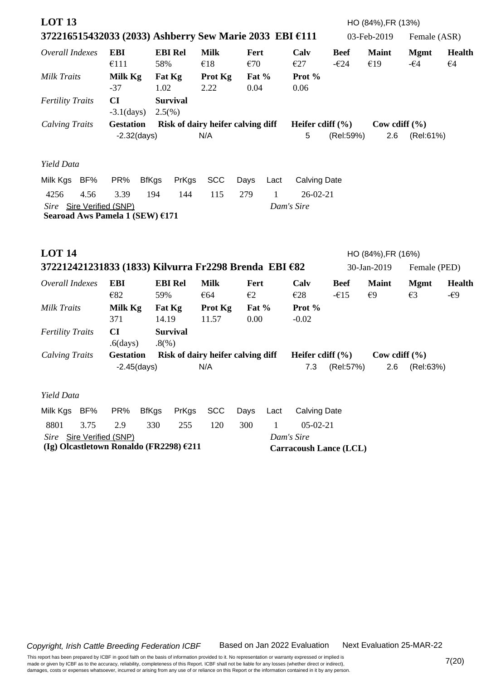| <b>LOT 13</b><br>372216515432033 (2033) Ashberry Sew Marie 2033 EBI €111 |                                    |                              |                    |                                   |                               |                               | HO (84%), FR (13%)<br>03-Feb-2019 | Female (ASR)                 |                               |
|--------------------------------------------------------------------------|------------------------------------|------------------------------|--------------------|-----------------------------------|-------------------------------|-------------------------------|-----------------------------------|------------------------------|-------------------------------|
| Overall Indexes                                                          | <b>EBI</b><br>€111                 | <b>EBI Rel</b><br>58%        | <b>Milk</b><br>€18 | Fert<br>€70                       | Calv<br>E27                   | <b>Beef</b><br>$-\epsilon$ 24 | <b>Maint</b><br>€19               | <b>Mgmt</b><br>$-\epsilon$ 4 | <b>Health</b><br>$\epsilon$ 4 |
| Milk Traits                                                              | Milk Kg<br>$-37$                   | Fat Kg<br>1.02               | Prot Kg<br>2.22    | Fat %<br>0.04                     | Prot %<br>0.06                |                               |                                   |                              |                               |
| <b>Fertility Traits</b>                                                  | CI<br>$-3.1$ (days)                | <b>Survival</b><br>$2.5(\%)$ |                    |                                   |                               |                               |                                   |                              |                               |
| <b>Calving Traits</b>                                                    | <b>Gestation</b>                   |                              |                    | Risk of dairy heifer calving diff | Heifer cdiff $(\% )$          |                               | Cow cdiff $(\% )$                 |                              |                               |
|                                                                          | $-2.32$ (days)                     |                              | N/A                |                                   | 5                             | (Rel:59%)                     | 2.6                               | (Rel:61%)                    |                               |
| Yield Data<br>BF%<br>Milk Kgs                                            | PR%<br><b>BfKgs</b>                | PrKgs                        | <b>SCC</b>         | Days<br>Lact                      | <b>Calving Date</b>           |                               |                                   |                              |                               |
| 4256<br>4.56                                                             | 3.39                               | 194<br>144                   | 115                | 279<br>1                          | $26 - 02 - 21$                |                               |                                   |                              |                               |
| Sire Sire Verified (SNP)<br>Searoad Aws Pamela 1 (SEW) €171              |                                    |                              |                    |                                   | Dam's Sire                    |                               |                                   |                              |                               |
| <b>LOT 14</b>                                                            |                                    |                              |                    |                                   |                               |                               | HO (84%), FR (16%)                |                              |                               |
| 372212421231833 (1833) Kilvurra Fr2298 Brenda EBI €82                    |                                    |                              |                    |                                   |                               |                               | 30-Jan-2019                       | Female (PED)                 |                               |
| Overall Indexes                                                          | <b>EBI</b><br>€82                  | <b>EBI Rel</b><br>59%        | <b>Milk</b><br>€64 | Fert<br>$\epsilon$ 2              | Calv<br>E28                   | <b>Beef</b><br>$-615$         | <b>Maint</b><br>$\epsilon$ 9      | <b>Mgmt</b><br>E3            | <b>Health</b><br>-€9          |
| <b>Milk Traits</b>                                                       | Milk Kg<br>371                     | Fat Kg<br>14.19              | Prot Kg<br>11.57   | Fat $%$<br>0.00                   | Prot %<br>$-0.02$             |                               |                                   |                              |                               |
| <b>Fertility Traits</b>                                                  | CI<br>$.6$ (days)                  | <b>Survival</b><br>.8(%)     |                    |                                   |                               |                               |                                   |                              |                               |
| <b>Calving Traits</b>                                                    | <b>Gestation</b><br>$-2.45$ (days) |                              | N/A                | Risk of dairy heifer calving diff | Heifer cdiff $(\% )$<br>7.3   | (Rel:57%)                     | Cow cdiff $(\% )$<br>2.6          | (Rel:63%)                    |                               |
| Yield Data                                                               |                                    |                              |                    |                                   |                               |                               |                                   |                              |                               |
| Milk Kgs BF%                                                             | PR%<br><b>BfKgs</b>                | PrKgs                        | <b>SCC</b>         | Days<br>Lact                      | <b>Calving Date</b>           |                               |                                   |                              |                               |
| 8801<br>3.75                                                             | 2.9                                | 330<br>255                   | 120                | 300<br>1                          | $05-02-21$                    |                               |                                   |                              |                               |
| Sire Sire Verified (SNP)                                                 |                                    |                              |                    |                                   | Dam's Sire                    |                               |                                   |                              |                               |
| (Ig) Olcastletown Ronaldo (FR2298) €211                                  |                                    |                              |                    |                                   | <b>Carracoush Lance (LCL)</b> |                               |                                   |                              |                               |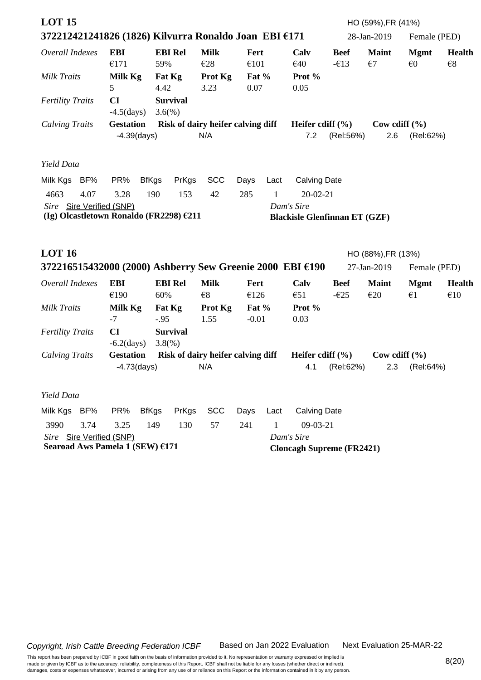| <b>LOT 15</b><br>372212421241826 (1826) Kilvurra Ronaldo Joan EBI €171 |                                    |                                   |                    |                 |      |                                      |                               | HO (59%), FR (41%)<br>28-Jan-2019 | Female (PED)                           |                               |
|------------------------------------------------------------------------|------------------------------------|-----------------------------------|--------------------|-----------------|------|--------------------------------------|-------------------------------|-----------------------------------|----------------------------------------|-------------------------------|
| Overall Indexes                                                        | <b>EBI</b><br>€171                 | <b>EBI Rel</b><br>59%             | <b>Milk</b><br>E28 | Fert<br>€101    |      | Calv<br>€40                          | <b>Beef</b><br>$-\epsilon$ 13 | <b>Maint</b><br>$\epsilon$ 7      | <b>Mgmt</b><br>$\epsilon$ <sup>0</sup> | <b>Health</b><br>$\epsilon$ 8 |
| <b>Milk Traits</b>                                                     | Milk Kg<br>5                       | Fat Kg<br>4.42                    | Prot Kg<br>3.23    | Fat $%$<br>0.07 |      | Prot %<br>0.05                       |                               |                                   |                                        |                               |
| <b>Fertility Traits</b>                                                | CI<br>$-4.5$ (days)                | <b>Survival</b><br>$3.6(\%)$      |                    |                 |      |                                      |                               |                                   |                                        |                               |
| <b>Calving Traits</b>                                                  | <b>Gestation</b><br>$-4.39$ (days) | Risk of dairy heifer calving diff | N/A                |                 |      | Heifer cdiff $(\% )$<br>7.2          | (Rel:56%)                     | Cow cdiff $(\% )$<br>2.6          | (Rel:62%)                              |                               |
| Yield Data                                                             |                                    |                                   |                    |                 |      |                                      |                               |                                   |                                        |                               |
| Milk Kgs BF%                                                           | PR%                                | <b>BfKgs</b><br>PrKgs             | <b>SCC</b>         | Days            | Lact | <b>Calving Date</b>                  |                               |                                   |                                        |                               |
| 4.07<br>4663                                                           | 3.28                               | 190<br>153                        | 42                 | 285             | 1    | $20 - 02 - 21$                       |                               |                                   |                                        |                               |
| Sire Sire Verified (SNP)                                               |                                    |                                   |                    |                 |      | Dam's Sire                           |                               |                                   |                                        |                               |
| (Ig) Olcastletown Ronaldo (FR2298) €211                                |                                    |                                   |                    |                 |      | <b>Blackisle Glenfinnan ET (GZF)</b> |                               |                                   |                                        |                               |
|                                                                        |                                    |                                   |                    |                 |      |                                      |                               |                                   |                                        |                               |
| <b>LOT 16</b>                                                          |                                    |                                   |                    |                 |      |                                      |                               | HO (88%), FR (13%)                |                                        |                               |
| 372216515432000 (2000) Ashberry Sew Greenie 2000 EBI €190              |                                    |                                   |                    |                 |      |                                      |                               | 27-Jan-2019                       | Female (PED)                           |                               |
| Overall Indexes                                                        | <b>EBI</b>                         | <b>EBI Rel</b>                    | <b>Milk</b>        | Fert            |      | Calv                                 | <b>Beef</b>                   | <b>Maint</b>                      | <b>Mgmt</b>                            | <b>Health</b>                 |
|                                                                        | €190                               | 60%                               | $\epsilon$ 8       | €126            |      | $\epsilon$ 51                        | $-\epsilon$ 25                | E20                               | $\epsilon_1$                           | €10                           |
| <b>Milk Traits</b>                                                     | Milk Kg                            | Fat Kg                            | Prot Kg            | Fat %           |      | Prot %                               |                               |                                   |                                        |                               |
| <b>Fertility Traits</b>                                                | $-7$<br>CI                         | $-.95$<br><b>Survival</b>         | 1.55               | $-0.01$         |      | 0.03                                 |                               |                                   |                                        |                               |
|                                                                        | $-6.2$ (days)                      | 3.8(%)                            |                    |                 |      |                                      |                               |                                   |                                        |                               |
| <b>Calving Traits</b>                                                  | <b>Gestation</b>                   | Risk of dairy heifer calving diff |                    |                 |      | Heifer cdiff $(\% )$                 |                               | Cow cdiff $(\% )$                 |                                        |                               |
|                                                                        | $-4.73$ (days)                     |                                   | N/A                |                 |      |                                      | 4.1 (Rel:62%)                 |                                   | 2.3 (Rel:64%)                          |                               |
| Yield Data                                                             |                                    |                                   |                    |                 |      |                                      |                               |                                   |                                        |                               |
| Milk Kgs BF%                                                           | PR%                                | <b>BfKgs</b><br>PrKgs             | <b>SCC</b>         | Days            | Lact | <b>Calving Date</b>                  |                               |                                   |                                        |                               |
| 3990<br>3.74                                                           | 3.25                               | 130<br>149                        | 57                 | 241             | 1    | $09-03-21$                           |                               |                                   |                                        |                               |
| Sire Sire Verified (SNP)                                               |                                    |                                   |                    |                 |      | Dam's Sire                           |                               |                                   |                                        |                               |
| Searoad Aws Pamela 1 (SEW) €171                                        |                                    |                                   |                    |                 |      | <b>Cloncagh Supreme (FR2421)</b>     |                               |                                   |                                        |                               |

Next Evaluation 25-MAR-22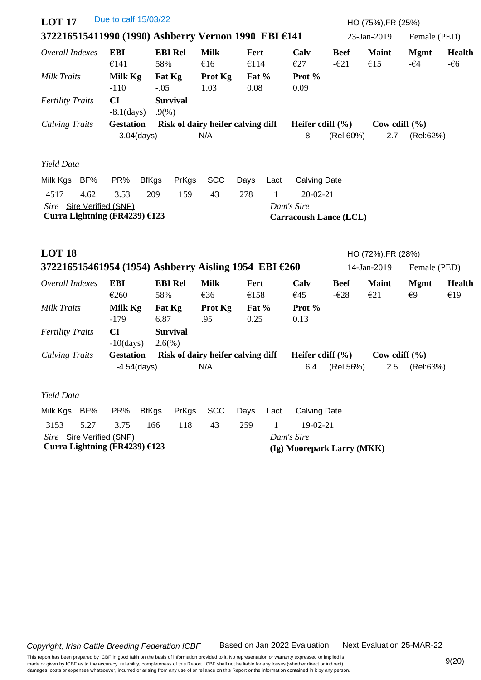| <b>LOT 17</b>                                                   |                    | Due to calf 15/03/22               |                                   |                    |               |      |                                             |                               | HO (75%), FR (25%)       |                              |                        |
|-----------------------------------------------------------------|--------------------|------------------------------------|-----------------------------------|--------------------|---------------|------|---------------------------------------------|-------------------------------|--------------------------|------------------------------|------------------------|
| 372216515411990 (1990) Ashberry Vernon 1990 EBI €141            |                    |                                    |                                   |                    |               |      |                                             |                               | 23-Jan-2019              | Female (PED)                 |                        |
| Overall Indexes                                                 | <b>EBI</b><br>€141 |                                    | <b>EBI Rel</b><br>58%             | <b>Milk</b><br>€16 | Fert<br>€114  |      | Calv<br>€27                                 | <b>Beef</b><br>$-\epsilon 21$ | <b>Maint</b><br>€15      | <b>Mgmt</b><br>$-\epsilon$ 4 | <b>Health</b><br>$-66$ |
| Milk Traits                                                     | Milk Kg<br>$-110$  |                                    | Fat Kg<br>$-.05$                  | Prot Kg<br>1.03    | Fat %<br>0.08 |      | Prot %<br>0.09                              |                               |                          |                              |                        |
| <b>Fertility Traits</b>                                         | CI                 | $-8.1$ (days)                      | <b>Survival</b><br>.9%            |                    |               |      |                                             |                               |                          |                              |                        |
| <b>Calving Traits</b>                                           |                    | <b>Gestation</b><br>$-3.04$ (days) | Risk of dairy heifer calving diff | N/A                |               |      | Heifer cdiff $(\% )$<br>8                   | (Rel:60%)                     | Cow cdiff $(\% )$<br>2.7 | (Rel:62%)                    |                        |
| Yield Data                                                      |                    |                                    |                                   |                    |               |      |                                             |                               |                          |                              |                        |
| Milk Kgs BF%                                                    | PR%                | <b>BfKgs</b>                       | PrKgs                             | <b>SCC</b>         | Days          | Lact | <b>Calving Date</b>                         |                               |                          |                              |                        |
| 4517<br>4.62                                                    | 3.53               | 209                                | 159                               | 43                 | 278           | 1    | $20 - 02 - 21$                              |                               |                          |                              |                        |
| Sire Sire Verified (SNP)<br>Curra Lightning (FR4239) €123       |                    |                                    |                                   |                    |               |      | Dam's Sire<br><b>Carracoush Lance (LCL)</b> |                               |                          |                              |                        |
| <b>LOT 18</b>                                                   |                    |                                    |                                   |                    |               |      |                                             |                               | HO (72%), FR (28%)       |                              |                        |
| 372216515461954 (1954) Ashberry Aisling 1954 EBI $\epsilon$ 260 |                    |                                    |                                   |                    |               |      |                                             |                               | 14-Jan-2019              | Female (PED)                 |                        |
| Overall Indexes                                                 | <b>EBI</b><br>€260 |                                    | <b>EBI Rel</b><br>58%             | <b>Milk</b><br>€36 | Fert<br>€158  |      | Calv<br>€45                                 | <b>Beef</b><br>$-\epsilon$ 28 | <b>Maint</b><br>E21      | <b>Mgmt</b><br>€9            | <b>Health</b><br>€19   |
| Milk Traits                                                     | Milk Kg<br>$-179$  |                                    | Fat Kg<br>6.87                    | Prot Kg<br>.95     | Fat %<br>0.25 |      | Prot %<br>0.13                              |                               |                          |                              |                        |
| <b>Fertility Traits</b>                                         | CI                 | $-10$ (days)                       | <b>Survival</b><br>$2.6(\%)$      |                    |               |      |                                             |                               |                          |                              |                        |
| <b>Calving Traits</b>                                           |                    | <b>Gestation</b><br>$-4.54$ (days) | Risk of dairy heifer calving diff | N/A                |               |      | Heifer cdiff $(\% )$<br>6.4                 | (Rel:56%)                     | Cow cdiff $(\% )$<br>2.5 | (Rel:63%)                    |                        |
| Yield Data                                                      |                    |                                    |                                   |                    |               |      |                                             |                               |                          |                              |                        |
| Milk Kgs BF%                                                    | PR%                | <b>BfKgs</b>                       | PrKgs                             | <b>SCC</b>         | Days          | Lact | <b>Calving Date</b>                         |                               |                          |                              |                        |
| 3153<br>5.27                                                    | 3.75               | 166                                | 118                               | 43                 | 259           | 1    | 19-02-21                                    |                               |                          |                              |                        |
| Sire Sire Verified (SNP)<br>Curra Lightning (FR4239) €123       |                    |                                    |                                   |                    |               |      | Dam's Sire<br>(Ig) Moorepark Larry (MKK)    |                               |                          |                              |                        |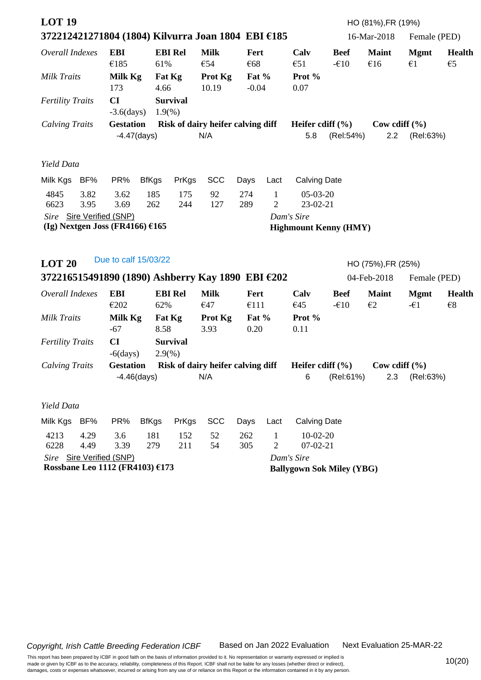| <b>LOT 19</b>                     |              |                          |                |                         | 372212421271804 (1804) Kilvurra Joan 1804 EBI €185 |                  |                                |                                            |                       | HO (81%), FR (19%)<br>16-Mar-2018 | Female (PED)                 |                                          |
|-----------------------------------|--------------|--------------------------|----------------|-------------------------|----------------------------------------------------|------------------|--------------------------------|--------------------------------------------|-----------------------|-----------------------------------|------------------------------|------------------------------------------|
| Overall Indexes                   |              | <b>EBI</b><br>€185       |                | <b>EBI Rel</b><br>61%   | <b>Milk</b><br>€54                                 | Fert<br>€68      |                                | Calv<br>$\epsilon$ 51                      | <b>Beef</b><br>$-610$ | <b>Maint</b><br>€16               | <b>Mgmt</b><br>$\epsilon$ 1  | <b>Health</b><br>$\epsilon$ <sub>5</sub> |
| Milk Traits                       |              | Milk Kg<br>173           |                | Fat Kg<br>4.66          | Prot Kg<br>10.19                                   | Fat %<br>$-0.04$ |                                | Prot %<br>0.07                             |                       |                                   |                              |                                          |
| <b>Fertility Traits</b>           |              | CI<br>$-3.6$ (days)      |                | <b>Survival</b><br>1.9% |                                                    |                  |                                |                                            |                       |                                   |                              |                                          |
| <b>Calving Traits</b>             |              | <b>Gestation</b>         | $-4.47$ (days) |                         | Risk of dairy heifer calving diff<br>N/A           |                  |                                | Heifer cdiff $(\% )$<br>5.8                | (Rel:54%)             | Cow cdiff $(\% )$<br>2.2          | (Rel:63%)                    |                                          |
| Yield Data                        |              |                          |                |                         |                                                    |                  |                                |                                            |                       |                                   |                              |                                          |
| Milk Kgs                          | BF%          | PR%                      | <b>BfKgs</b>   | PrKgs                   | <b>SCC</b>                                         | Days             | Lact                           | <b>Calving Date</b>                        |                       |                                   |                              |                                          |
| 4845<br>6623                      | 3.82<br>3.95 | 3.62<br>3.69             | 185<br>262     | 175<br>244              | 92<br>127                                          | 274<br>289       | $\mathbf{1}$<br>$\mathfrak{2}$ | $05-03-20$<br>23-02-21                     |                       |                                   |                              |                                          |
| (Ig) Nextgen Joss (FR4166) $£165$ |              | Sire Sire Verified (SNP) |                |                         |                                                    |                  |                                | Dam's Sire<br><b>Highmount Kenny (HMY)</b> |                       |                                   |                              |                                          |
| <b>LOT 20</b>                     |              | Due to calf 15/03/22     |                |                         |                                                    |                  |                                |                                            |                       | HO (75%), FR (25%)                |                              |                                          |
|                                   |              |                          |                |                         | 372216515491890 (1890) Ashberry Kay 1890 EBI €202  |                  |                                |                                            |                       | 04-Feb-2018                       | Female (PED)                 |                                          |
| Overall Indexes                   |              | <b>EBI</b><br>€202       |                | <b>EBI Rel</b><br>62%   | <b>Milk</b><br>€47                                 | Fert<br>€111     |                                | Calv<br>€45                                | <b>Beef</b><br>$-610$ | <b>Maint</b><br>$\epsilon$ 2      | <b>Mgmt</b><br>$-\epsilon$ 1 | <b>Health</b><br>$\epsilon$ 8            |
| Milk Traits                       |              | Milk Kg                  |                | Fat Kg                  | Prot Kg                                            | Fat $%$          |                                | Prot %                                     |                       |                                   |                              |                                          |
|                                   |              | $-67$                    |                | 8.58                    | 3.93                                               | 0.20             |                                | 0.11                                       |                       |                                   |                              |                                          |
| <b>Fertility Traits</b>           |              | CI                       |                | <b>Survival</b>         |                                                    |                  |                                |                                            |                       |                                   |                              |                                          |
|                                   |              | $-6$ (days)              |                | $2.9\%$                 |                                                    |                  |                                |                                            |                       |                                   |                              |                                          |
| <b>Calving Traits</b>             |              | <b>Gestation</b>         | $-4.46$ (days) |                         | Risk of dairy heifer calving diff<br>N/A           |                  |                                | Heifer cdiff $(\% )$<br>6                  | (Rel:61%)             | Cow cdiff $(\%$<br>2.3            | (Rel:63%)                    |                                          |
| Yield Data                        |              |                          |                |                         |                                                    |                  |                                |                                            |                       |                                   |                              |                                          |
| Milk Kgs                          | BF%          | PR%                      | <b>BfKgs</b>   | PrKgs                   | <b>SCC</b>                                         | Days             | Lact                           | <b>Calving Date</b>                        |                       |                                   |                              |                                          |
| 4213<br>6228                      | 4.29<br>4.49 | 3.6<br>3.39              | 181<br>279     | 152<br>211              | 52<br>54                                           | 262<br>305       | $\mathbf{1}$<br>$\overline{c}$ | $10-02-20$<br>$07 - 02 - 21$               |                       |                                   |                              |                                          |
|                                   |              | Sire Sire Verified (SNP) |                |                         |                                                    |                  |                                | Dam's Sire                                 |                       |                                   |                              |                                          |
| Rossbane Leo 1112 (FR4103) €173   |              |                          |                |                         |                                                    |                  |                                | <b>Ballygown Sok Miley (YBG)</b>           |                       |                                   |                              |                                          |

Next Evaluation 25-MAR-22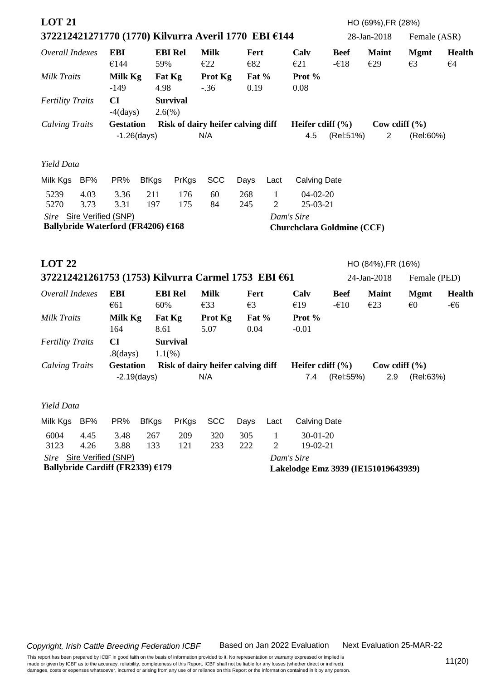| <b>LOT 21</b>                      |      |                                  |                |                 |                                                      |                 |                |                                     |             | HO (69%), FR (28%) |                   |               |
|------------------------------------|------|----------------------------------|----------------|-----------------|------------------------------------------------------|-----------------|----------------|-------------------------------------|-------------|--------------------|-------------------|---------------|
|                                    |      |                                  |                |                 | 372212421271770 (1770) Kilvurra Averil 1770 EBI €144 |                 |                |                                     |             | 28-Jan-2018        | Female (ASR)      |               |
| Overall Indexes                    |      | <b>EBI</b>                       |                | <b>EBI Rel</b>  | <b>Milk</b>                                          | Fert            |                | Calv                                | <b>Beef</b> | <b>Maint</b>       | <b>Mgmt</b>       | <b>Health</b> |
|                                    |      | €144                             | 59%            |                 | E22                                                  | €82             |                | E21                                 | $-618$      | €29                | E3                | $\epsilon$ 4  |
| Milk Traits                        |      | Milk Kg<br>$-149$                | 4.98           | Fat Kg          | Prot Kg<br>$-.36$                                    | Fat $%$<br>0.19 |                | Prot %<br>0.08                      |             |                    |                   |               |
| <b>Fertility Traits</b>            |      | CI                               |                | <b>Survival</b> |                                                      |                 |                |                                     |             |                    |                   |               |
|                                    |      | $-4$ (days)                      |                | $2.6(\%)$       |                                                      |                 |                |                                     |             |                    |                   |               |
| <b>Calving Traits</b>              |      | <b>Gestation</b>                 |                |                 | Risk of dairy heifer calving diff                    |                 |                | Heifer cdiff $(\% )$                |             |                    | Cow cdiff $(\% )$ |               |
|                                    |      |                                  | $-1.26$ (days) |                 | N/A                                                  |                 |                | 4.5                                 | (Rel:51%)   | $\overline{2}$     | (Rel:60%)         |               |
| Yield Data                         |      |                                  |                |                 |                                                      |                 |                |                                     |             |                    |                   |               |
| Milk Kgs BF%                       |      | PR%                              | <b>BfKgs</b>   | PrKgs           | <b>SCC</b>                                           | Days            | Lact           | <b>Calving Date</b>                 |             |                    |                   |               |
| 5239                               | 4.03 | 3.36                             | 211            | 176             | 60                                                   | 268             | $\mathbf{1}$   | $04-02-20$                          |             |                    |                   |               |
| 5270                               | 3.73 | 3.31                             | 197            | 175             | 84                                                   | 245             | $\overline{2}$ | 25-03-21                            |             |                    |                   |               |
| Sire Sire Verified (SNP)           |      |                                  |                |                 |                                                      |                 |                | Dam's Sire                          |             |                    |                   |               |
| Ballybride Waterford (FR4206) €168 |      |                                  |                |                 |                                                      |                 |                | <b>Churchclara Goldmine (CCF)</b>   |             |                    |                   |               |
| <b>LOT 22</b>                      |      |                                  |                |                 |                                                      |                 |                |                                     |             | HO (84%), FR (16%) |                   |               |
|                                    |      |                                  |                |                 | 372212421261753 (1753) Kilvurra Carmel 1753 EBI €61  |                 |                |                                     |             | 24-Jan-2018        | Female (PED)      |               |
| Overall Indexes                    |      | <b>EBI</b>                       |                | <b>EBI Rel</b>  | <b>Milk</b>                                          | Fert            |                | Calv                                | <b>Beef</b> | <b>Maint</b>       | <b>Mgmt</b>       | <b>Health</b> |
|                                    |      | €61                              | 60%            |                 | €33                                                  | $\epsilon$ 3    |                | €19                                 | $-610$      | E23                | $\epsilon$ 0      | $-66$         |
| <b>Milk Traits</b>                 |      | Milk Kg<br>164                   | 8.61           | Fat Kg          | Prot Kg<br>5.07                                      | Fat %<br>0.04   |                | Prot %<br>$-0.01$                   |             |                    |                   |               |
| <b>Fertility Traits</b>            |      | CI                               |                | <b>Survival</b> |                                                      |                 |                |                                     |             |                    |                   |               |
|                                    |      | $.8$ (days)                      |                | 1.1(%           |                                                      |                 |                |                                     |             |                    |                   |               |
| <b>Calving Traits</b>              |      | <b>Gestation</b>                 |                |                 | Risk of dairy heifer calving diff                    |                 |                | Heifer cdiff $(\% )$                |             |                    | Cow cdiff $(\% )$ |               |
|                                    |      |                                  | $-2.19$ (days) |                 | N/A                                                  |                 |                | 7.4                                 | (Rel:55%)   | 2.9                | (Rel:63%)         |               |
| Yield Data                         |      |                                  |                |                 |                                                      |                 |                |                                     |             |                    |                   |               |
| Milk Kgs                           | BF%  | PR%                              | <b>BfKgs</b>   | PrKgs           | <b>SCC</b>                                           | Days            | Lact           | <b>Calving Date</b>                 |             |                    |                   |               |
| 6004                               | 4.45 | 3.48                             | 267            | 209             | 320                                                  | 305             | 1              | $30 - 01 - 20$                      |             |                    |                   |               |
| 3123                               | 4.26 | 3.88                             | 133            | 121             | 233                                                  | 222             | 2              | 19-02-21                            |             |                    |                   |               |
|                                    |      | Sire Sire Verified (SNP)         |                |                 |                                                      |                 |                | Dam's Sire                          |             |                    |                   |               |
|                                    |      | Ballybride Cardiff (FR2339) €179 |                |                 |                                                      |                 |                | Lakelodge Emz 3939 (IE151019643939) |             |                    |                   |               |

Next Evaluation 25-MAR-22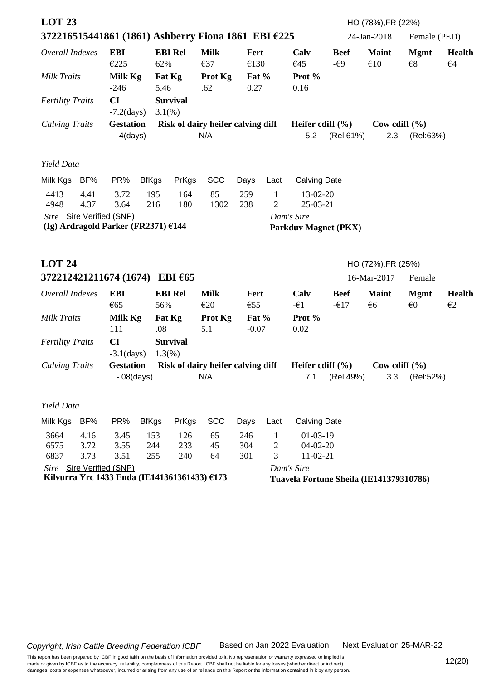| <b>LOT 23</b>                                             |              |                                                                          |              |                              | 372216515441861 (1861) Ashberry Fiona 1861 EBI €225 |                    |                                |                                           |                                         | HO (78%), FR (22%)<br>24-Jan-2018 | Female (PED)                |                               |
|-----------------------------------------------------------|--------------|--------------------------------------------------------------------------|--------------|------------------------------|-----------------------------------------------------|--------------------|--------------------------------|-------------------------------------------|-----------------------------------------|-----------------------------------|-----------------------------|-------------------------------|
| Overall Indexes                                           |              | <b>EBI</b><br>€225                                                       | 62%          | <b>EBI Rel</b>               | <b>Milk</b><br>€37                                  | Fert<br>€130       |                                | Calv<br>€45                               | <b>Beef</b><br>$-\epsilon$ 9            | <b>Maint</b><br>€10               | <b>Mgmt</b><br>$\epsilon$ 8 | <b>Health</b><br>$\epsilon$ 4 |
| Milk Traits                                               |              | Milk Kg<br>$-246$                                                        | 5.46         | Fat Kg                       | <b>Prot Kg</b><br>.62                               | Fat $%$<br>0.27    |                                | Prot %<br>0.16                            |                                         |                                   |                             |                               |
| <b>Fertility Traits</b>                                   |              | CI<br>$-7.2$ (days)                                                      |              | <b>Survival</b><br>$3.1(\%)$ |                                                     |                    |                                |                                           |                                         |                                   |                             |                               |
| <b>Calving Traits</b>                                     |              | <b>Gestation</b><br>$-4$ (days)                                          |              |                              | Risk of dairy heifer calving diff<br>N/A            |                    |                                | Heifer cdiff $(\% )$<br>5.2               | (Rel:61%)                               | Cow cdiff $(\% )$<br>2.3          | (Rel:63%)                   |                               |
| Yield Data                                                |              |                                                                          |              |                              |                                                     |                    |                                |                                           |                                         |                                   |                             |                               |
| Milk Kgs                                                  | BF%          | PR%                                                                      | <b>BfKgs</b> | PrKgs                        | <b>SCC</b>                                          | Days               | Lact                           | <b>Calving Date</b>                       |                                         |                                   |                             |                               |
| 4413<br>4948                                              | 4.41<br>4.37 | 3.72<br>3.64                                                             | 195<br>216   | 164<br>180                   | 85<br>1302                                          | 259<br>238         | $\mathbf{1}$<br>$\overline{2}$ | 13-02-20<br>25-03-21                      |                                         |                                   |                             |                               |
|                                                           |              | Sire Sire Verified (SNP)<br>(Ig) Ardragold Parker (FR2371) $£144$        |              |                              |                                                     |                    |                                | Dam's Sire<br><b>Parkduv Magnet (PKX)</b> |                                         |                                   |                             |                               |
| <b>LOT 24</b><br>372212421211674 (1674) EBI $\epsilon$ 65 |              |                                                                          |              |                              |                                                     |                    |                                |                                           |                                         | HO (72%), FR (25%)<br>16-Mar-2017 | Female                      |                               |
| Overall Indexes                                           |              | <b>EBI</b>                                                               |              | <b>EBI Rel</b>               | <b>Milk</b>                                         | Fert               |                                | Calv                                      | <b>Beef</b>                             | <b>Maint</b>                      | <b>Mgmt</b>                 | <b>Health</b>                 |
|                                                           |              | €65                                                                      | 56%          |                              | E20                                                 | €55                |                                | $-\epsilon$ 1                             | $-617$                                  | €6                                | $\epsilon$ 0                | $\epsilon$ 2                  |
| <b>Milk Traits</b>                                        |              | Milk Kg<br>111                                                           | .08          | Fat Kg                       | Prot Kg<br>5.1                                      | Fat $%$<br>$-0.07$ |                                | Prot %<br>0.02                            |                                         |                                   |                             |                               |
| <b>Fertility Traits</b>                                   |              | CI<br>$-3.1$ (days)                                                      |              | <b>Survival</b><br>1.3(%)    |                                                     |                    |                                |                                           |                                         |                                   |                             |                               |
| <b>Calving Traits</b>                                     |              | <b>Gestation</b>                                                         |              |                              | Risk of dairy heifer calving diff                   |                    |                                | Heifer cdiff $(\% )$                      |                                         | Cow cdiff $(\% )$                 |                             |                               |
|                                                           |              | $-.08$ (days)                                                            |              |                              | N/A                                                 |                    |                                | 7.1                                       | (Rel:49%)                               | 3.3                               | (Rel:52%)                   |                               |
| Yield Data                                                |              |                                                                          |              |                              |                                                     |                    |                                |                                           |                                         |                                   |                             |                               |
| Milk Kgs                                                  | BF%          | PR%                                                                      | <b>BfKgs</b> | PrKgs                        | <b>SCC</b>                                          | Days               | Lact                           | <b>Calving Date</b>                       |                                         |                                   |                             |                               |
| 3664<br>6575                                              | 4.16<br>3.72 | 3.45<br>3.55                                                             | 153<br>244   | 126<br>233                   | 65<br>45                                            | 246<br>304         | $\mathbf{1}$<br>2              | $01-03-19$<br>$04-02-20$                  |                                         |                                   |                             |                               |
| 6837                                                      | 3.73         | 3.51                                                                     | 255          | 240                          | 64                                                  | 301                | 3                              | 11-02-21                                  |                                         |                                   |                             |                               |
|                                                           |              | Sire Sire Verified (SNP)<br>Kilvurra Yrc 1433 Enda (IE141361361433) €173 |              |                              |                                                     |                    |                                | Dam's Sire                                | Tuavela Fortune Sheila (IE141379310786) |                                   |                             |                               |
|                                                           |              |                                                                          |              |                              |                                                     |                    |                                |                                           |                                         |                                   |                             |                               |

Next Evaluation 25-MAR-22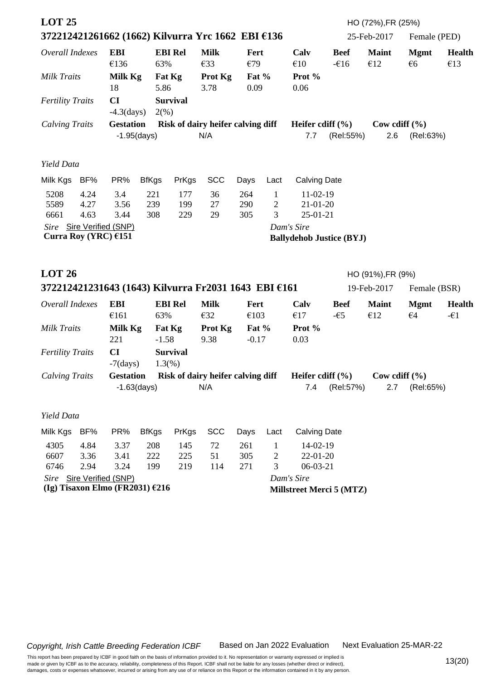| <b>LOT 25</b>                                    |                      |                                   |                   |                              | 372212421261662 (1662) Kilvurra Yrc 1662 EBI €136    |                        |                                   |                                                |                       | HO (72%), FR (25%)<br>25-Feb-2017 | Female (PED)                   |                                |  |
|--------------------------------------------------|----------------------|-----------------------------------|-------------------|------------------------------|------------------------------------------------------|------------------------|-----------------------------------|------------------------------------------------|-----------------------|-----------------------------------|--------------------------------|--------------------------------|--|
| Overall Indexes<br>Milk Traits                   |                      | <b>EBI</b><br>€136<br>Milk Kg     | 63%               | <b>EBI Rel</b><br>Fat Kg     | <b>Milk</b><br>€33<br>Prot Kg                        | Fert<br>€79<br>Fat $%$ |                                   | Calv<br>€10<br>Prot %                          | <b>Beef</b><br>$-616$ | <b>Maint</b><br>€12               | <b>Mgmt</b><br>$\epsilon$ 6    | <b>Health</b><br>€13           |  |
| <b>Fertility Traits</b>                          |                      | 18<br>CI<br>$-4.3$ (days)         | 5.86<br>2(%)      | <b>Survival</b>              | 3.78                                                 | 0.09                   |                                   | 0.06                                           |                       |                                   |                                |                                |  |
| <b>Calving Traits</b>                            |                      | <b>Gestation</b>                  | $-1.95$ (days)    |                              | Risk of dairy heifer calving diff<br>N/A             |                        | 7.7                               | Heifer cdiff $(\% )$<br>2.6<br>(Rel:55%)       |                       |                                   | Cow cdiff $(\% )$<br>(Rel:63%) |                                |  |
| Yield Data                                       |                      |                                   |                   |                              |                                                      |                        |                                   |                                                |                       |                                   |                                |                                |  |
| Milk Kgs                                         | BF%                  | PR%                               | <b>BfKgs</b>      | PrKgs                        | <b>SCC</b>                                           | Days                   | Lact                              | <b>Calving Date</b>                            |                       |                                   |                                |                                |  |
| 5208<br>5589<br>6661                             | 4.24<br>4.27<br>4.63 | 3.4<br>3.56<br>3.44               | 221<br>239<br>308 | 177<br>199<br>229            | 36<br>27<br>29                                       | 264<br>290<br>305      | $\mathbf{1}$<br>$\mathbf{2}$<br>3 | $11-02-19$<br>$21 - 01 - 20$<br>$25 - 01 - 21$ |                       |                                   |                                |                                |  |
| Sire Sire Verified (SNP)<br>Curra Roy (YRC) €151 |                      |                                   |                   |                              |                                                      |                        |                                   | Dam's Sire<br><b>Ballydehob Justice (BYJ)</b>  |                       |                                   |                                |                                |  |
| <b>LOT 26</b>                                    |                      |                                   |                   |                              |                                                      |                        |                                   |                                                |                       | HO (91%), FR (9%)                 |                                |                                |  |
|                                                  |                      |                                   |                   |                              | 372212421231643 (1643) Kilvurra Fr2031 1643 EBI €161 |                        |                                   |                                                |                       | 19-Feb-2017                       | Female (BSR)                   |                                |  |
| Overall Indexes                                  |                      | <b>EBI</b><br>€161                | 63%               | <b>EBI Rel</b>               | <b>Milk</b><br>€32                                   | Fert<br>€103           |                                   | Calv<br>€17                                    | <b>Beef</b><br>$-65$  | <b>Maint</b><br>€12               | <b>Mgmt</b><br>$\epsilon$ 4    | <b>Health</b><br>$-\epsilon$ 1 |  |
| Milk Traits                                      |                      | Milk Kg<br>221                    | $-1.58$           | Fat Kg                       | Prot Kg<br>9.38                                      | Fat $%$<br>$-0.17$     |                                   | Prot %<br>0.03                                 |                       |                                   |                                |                                |  |
| <b>Fertility Traits</b>                          |                      | CI<br>$-7$ (days)                 |                   | <b>Survival</b><br>$1.3(\%)$ |                                                      |                        |                                   |                                                |                       |                                   |                                |                                |  |
| <b>Calving Traits</b>                            |                      | <b>Gestation</b>                  | $-1.63$ (days)    |                              | Risk of dairy heifer calving diff<br>N/A             |                        |                                   | Heifer cdiff $(\% )$<br>7.4                    | (Rel:57%)             | Cow cdiff $(\% )$<br>2.7          | (Rel:65%)                      |                                |  |
| Yield Data                                       |                      |                                   |                   |                              |                                                      |                        |                                   |                                                |                       |                                   |                                |                                |  |
| Milk Kgs                                         | BF%                  | PR%                               | <b>BfKgs</b>      | PrKgs                        | <b>SCC</b>                                           | Days                   | Lact                              | <b>Calving Date</b>                            |                       |                                   |                                |                                |  |
| 4305<br>6607<br>6746                             | 4.84<br>3.36<br>2.94 | 3.37<br>3.41<br>3.24              | 208<br>222<br>199 | 145<br>225<br>219            | 72<br>51<br>114                                      | 261<br>305<br>271      | $\mathbf{1}$<br>2<br>3            | 14-02-19<br>22-01-20<br>$06-03-21$             |                       |                                   |                                |                                |  |
| Sire Sire Verified (SNP)                         |                      |                                   |                   |                              |                                                      |                        |                                   | Dam's Sire                                     |                       |                                   |                                |                                |  |
|                                                  |                      | (Ig) Tisaxon Elmo (FR2031) $£216$ |                   |                              |                                                      |                        |                                   | Millstreet Merci 5 (MTZ)                       |                       |                                   |                                |                                |  |

Next Evaluation 25-MAR-22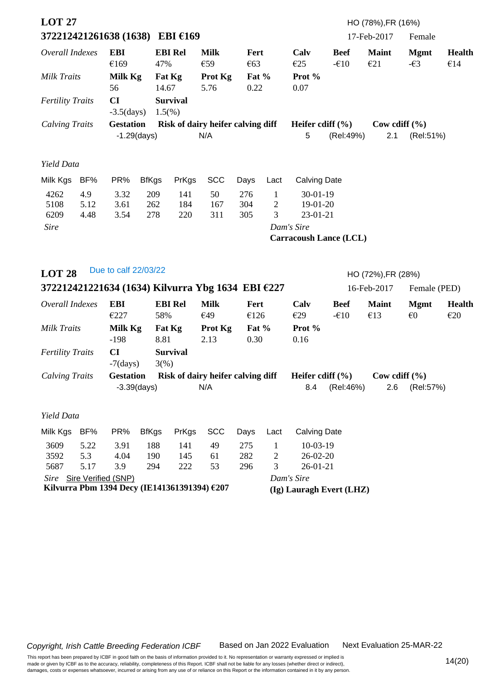| <b>LOT 27</b><br>372212421261638 (1638) EBI €169 |                     |                                              |                   |                              |                                                   |                   |                                     |                                          |                                                               | HO (78%), FR (16%)<br>17-Feb-2017 | Female                       |                      |  |
|--------------------------------------------------|---------------------|----------------------------------------------|-------------------|------------------------------|---------------------------------------------------|-------------------|-------------------------------------|------------------------------------------|---------------------------------------------------------------|-----------------------------------|------------------------------|----------------------|--|
|                                                  |                     |                                              |                   |                              |                                                   |                   |                                     |                                          |                                                               |                                   |                              |                      |  |
| Overall Indexes                                  |                     | <b>EBI</b><br>€169                           | 47%               | <b>EBI Rel</b>               | <b>Milk</b><br>€59                                | Fert<br>€63       |                                     | Calv<br>€25                              | <b>Beef</b><br>$-610$                                         | <b>Maint</b><br>E21               | <b>Mgmt</b><br>$-\epsilon$ 3 | <b>Health</b><br>€14 |  |
| <b>Milk Traits</b>                               |                     | Milk Kg<br>56                                | 14.67             | Fat Kg                       | Prot Kg<br>5.76                                   | Fat $%$<br>0.22   |                                     | Prot %<br>0.07                           |                                                               |                                   |                              |                      |  |
| <b>Fertility Traits</b>                          |                     | CI<br>$-3.5$ (days)                          |                   | <b>Survival</b><br>$1.5(\%)$ |                                                   |                   |                                     |                                          |                                                               |                                   |                              |                      |  |
| <b>Calving Traits</b>                            |                     | <b>Gestation</b>                             | $-1.29$ (days)    |                              | Risk of dairy heifer calving diff<br>N/A          |                   |                                     | 5                                        | Heifer cdiff $(\% )$<br>Cow cdiff $(\% )$<br>(Rel:49%)<br>2.1 |                                   |                              | (Rel:51%)            |  |
| Yield Data                                       |                     |                                              |                   |                              |                                                   |                   |                                     |                                          |                                                               |                                   |                              |                      |  |
| Milk Kgs                                         | BF%                 | PR%                                          | <b>BfKgs</b>      | PrKgs                        | <b>SCC</b>                                        | Days              | Lact                                | <b>Calving Date</b>                      |                                                               |                                   |                              |                      |  |
| 4262<br>5108<br>6209                             | 4.9<br>5.12<br>4.48 | 3.32<br>3.61<br>3.54                         | 209<br>262<br>278 | 141<br>184<br>220            | 50<br>167<br>311                                  | 276<br>304<br>305 | $\mathbf{1}$<br>$\overline{c}$<br>3 | $30 - 01 - 19$<br>$19-01-20$<br>23-01-21 |                                                               |                                   |                              |                      |  |
| <b>Sire</b>                                      |                     |                                              |                   |                              |                                                   |                   |                                     | Dam's Sire                               |                                                               |                                   |                              |                      |  |
|                                                  |                     |                                              |                   |                              |                                                   |                   |                                     | <b>Carracoush Lance (LCL)</b>            |                                                               |                                   |                              |                      |  |
| <b>LOT 28</b>                                    |                     | Due to calf 22/03/22                         |                   |                              |                                                   |                   |                                     |                                          |                                                               | HO (72%), FR (28%)                |                              |                      |  |
|                                                  |                     |                                              |                   |                              | 372212421221634 (1634) Kilvurra Ybg 1634 EBI €227 |                   |                                     |                                          |                                                               | 16-Feb-2017                       | Female (PED)                 |                      |  |
| Overall Indexes                                  |                     | <b>EBI</b><br>€227                           | 58%               | <b>EBI Rel</b>               | <b>Milk</b><br>€49                                | Fert<br>€126      |                                     | Calv<br>E29                              | <b>Beef</b><br>$-610$                                         | <b>Maint</b><br>€13               | <b>Mgmt</b><br>$\epsilon$ 0  | <b>Health</b><br>E20 |  |
| <b>Milk Traits</b>                               |                     | Milk Kg<br>$-198$                            | 8.81              | Fat Kg                       | Prot Kg<br>2.13                                   | Fat $%$<br>0.30   |                                     | Prot %<br>0.16                           |                                                               |                                   |                              |                      |  |
| <b>Fertility Traits</b>                          |                     | CI<br>$-7$ (days)                            | $3(\%)$           | <b>Survival</b>              |                                                   |                   |                                     |                                          |                                                               |                                   |                              |                      |  |
| <b>Calving Traits</b>                            |                     | <b>Gestation</b>                             | $-3.39$ (days)    |                              | Risk of dairy heifer calving diff<br>N/A          |                   |                                     | Heifer cdiff $(\% )$<br>8.4              | (Rel:46%)                                                     | Cow cdiff $(\% )$<br>2.6          | (Rel:57%)                    |                      |  |
| Yield Data                                       |                     |                                              |                   |                              |                                                   |                   |                                     |                                          |                                                               |                                   |                              |                      |  |
| Milk Kgs                                         | BF%                 | PR%                                          | <b>BfKgs</b>      | PrKgs                        | <b>SCC</b>                                        | Days              | Lact                                | <b>Calving Date</b>                      |                                                               |                                   |                              |                      |  |
| 3609<br>3592                                     | 5.22<br>5.3         | 3.91<br>4.04                                 | 188<br>190        | 141<br>145                   | 49<br>61                                          | 275<br>282        | $\mathbf{1}$<br>2                   | $10-03-19$<br>$26 - 02 - 20$             |                                                               |                                   |                              |                      |  |
| 5687                                             | 5.17                | 3.9<br>Sire Sire Verified (SNP)              | 294               | 222                          | 53                                                | 296               | 3                                   | $26 - 01 - 21$<br>Dam's Sire             |                                                               |                                   |                              |                      |  |
|                                                  |                     | Kilvurra Pbm 1394 Decy (IE141361391394) €207 |                   |                              |                                                   |                   |                                     | (Ig) Lauragh Evert (LHZ)                 |                                                               |                                   |                              |                      |  |

Next Evaluation 25-MAR-22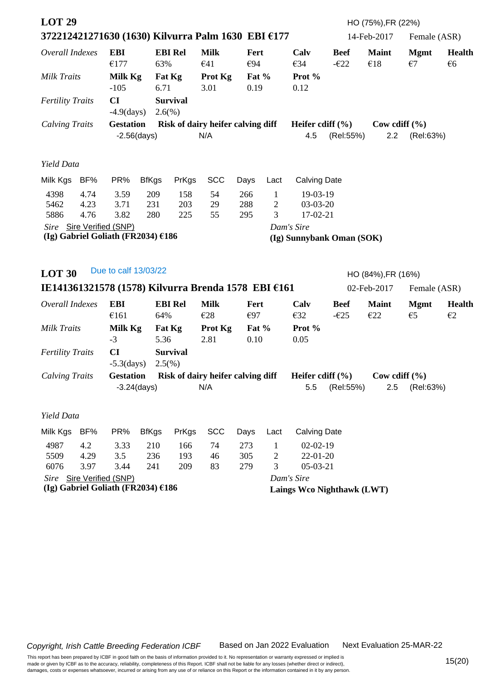| <b>LOT 29</b>                                                                                           |                      |                                                                  |                   |                   | 372212421271630 (1630) Kilvurra Palm 1630 EBI €177  |                                          |                                   |                                         |                                          | HO (75%), FR (22%)<br>14-Feb-2017 | Female (ASR)                |                                |  |
|---------------------------------------------------------------------------------------------------------|----------------------|------------------------------------------------------------------|-------------------|-------------------|-----------------------------------------------------|------------------------------------------|-----------------------------------|-----------------------------------------|------------------------------------------|-----------------------------------|-----------------------------|--------------------------------|--|
| Overall Indexes                                                                                         |                      | <b>EBI</b><br>€177                                               | 63%               | <b>EBI Rel</b>    | <b>Milk</b><br>€41                                  | Fert<br>€94                              |                                   | Calv<br>€34                             | <b>Beef</b><br>$-\epsilon$ 22            | <b>Maint</b><br>€18               | <b>Mgmt</b><br>$\epsilon$ 7 | <b>Health</b><br>€6            |  |
| Milk Traits                                                                                             |                      | Milk Kg<br>$-105$                                                | 6.71              | Fat Kg            | <b>Prot Kg</b><br>3.01                              | Fat %<br>0.19                            |                                   | Prot %<br>0.12                          |                                          |                                   |                             |                                |  |
| <b>Fertility Traits</b>                                                                                 |                      | CI<br>$-4.9$ (days)                                              | $2.6(\%)$         | <b>Survival</b>   |                                                     |                                          |                                   |                                         |                                          |                                   |                             |                                |  |
| <b>Calving Traits</b>                                                                                   |                      | <b>Gestation</b><br>$-2.56$ (days)                               |                   |                   | Risk of dairy heifer calving diff<br>N/A            |                                          |                                   | 4.5                                     | Heifer cdiff $(\% )$<br>(Rel:55%)<br>2.2 |                                   |                             | Cow cdiff $(\% )$<br>(Rel:63%) |  |
| Yield Data                                                                                              |                      |                                                                  |                   |                   |                                                     |                                          |                                   |                                         |                                          |                                   |                             |                                |  |
| Milk Kgs BF%                                                                                            |                      | PR%                                                              | <b>BfKgs</b>      | PrKgs             | <b>SCC</b>                                          | Days                                     | Lact                              | <b>Calving Date</b>                     |                                          |                                   |                             |                                |  |
| 4398<br>5462<br>5886                                                                                    | 4.74<br>4.23<br>4.76 | 3.59<br>3.71<br>3.82                                             | 209<br>231<br>280 | 158<br>203<br>225 | 54<br>29<br>55                                      | 266<br>288<br>295                        | $\mathbf{1}$<br>$\mathbf{2}$<br>3 | 19-03-19<br>$03-03-20$<br>17-02-21      |                                          |                                   |                             |                                |  |
|                                                                                                         |                      | Sire Sire Verified (SNP)<br>(Ig) Gabriel Goliath (FR2034) $£186$ |                   |                   |                                                     |                                          |                                   | Dam's Sire<br>(Ig) Sunnybank Oman (SOK) |                                          |                                   |                             |                                |  |
| <b>LOT 30</b>                                                                                           |                      | Due to calf 13/03/22                                             |                   |                   |                                                     |                                          |                                   |                                         |                                          | HO (84%), FR (16%)                |                             |                                |  |
|                                                                                                         |                      |                                                                  |                   |                   | IE141361321578 (1578) Kilvurra Brenda 1578 EBI €161 |                                          |                                   |                                         |                                          | 02-Feb-2017                       | Female (ASR)                |                                |  |
| Overall Indexes                                                                                         |                      | <b>EBI</b><br>€161                                               | 64%               | <b>EBI Rel</b>    | <b>Milk</b><br>€28                                  | Fert<br>€97                              |                                   | Calv<br>E32                             | <b>Beef</b><br>$-\epsilon$ 25            | <b>Maint</b><br>E22               | <b>Mgmt</b><br>$\epsilon$ 5 | <b>Health</b><br>$\epsilon$ 2  |  |
| Milk Traits                                                                                             |                      | Milk Kg<br>$-3$                                                  | 5.36              | Fat Kg            | Prot Kg<br>2.81                                     | Fat %<br>0.10                            |                                   | Prot %<br>0.05                          |                                          |                                   |                             |                                |  |
| <b>Fertility Traits</b>                                                                                 |                      | CI<br>$-5.3$ (days)                                              | $2.5(\%)$         | <b>Survival</b>   |                                                     |                                          |                                   |                                         |                                          |                                   |                             |                                |  |
| <b>Calving Traits</b><br><b>Gestation</b><br>Risk of dairy heifer calving diff<br>N/A<br>$-3.24$ (days) |                      |                                                                  |                   |                   |                                                     |                                          |                                   | Heifer cdiff $(\% )$<br>5.5             | (Rel:55%)                                | Cow cdiff $(\%$<br>2.5            | (Rel:63%)                   |                                |  |
| Yield Data                                                                                              |                      |                                                                  |                   |                   |                                                     |                                          |                                   |                                         |                                          |                                   |                             |                                |  |
| Milk Kgs                                                                                                | BF%                  | PR%                                                              | <b>BfKgs</b>      | PrKgs             | <b>SCC</b>                                          | Days                                     | Lact                              | <b>Calving Date</b>                     |                                          |                                   |                             |                                |  |
| 4987<br>5509                                                                                            | 4.2<br>4.29          | 3.33<br>3.5                                                      | 210<br>236        | 166<br>193        | 74<br>46                                            | 273<br>305                               | $\mathbf{1}$<br>2                 | $02 - 02 - 19$<br>$22 - 01 - 20$        |                                          |                                   |                             |                                |  |
| 6076                                                                                                    | 3.97                 | 3.44<br>Sire Sire Verified (SNP)                                 | 241               | 209               | 83                                                  | 279<br>3<br>$05-03-21$                   |                                   |                                         |                                          |                                   |                             |                                |  |
|                                                                                                         |                      | (Ig) Gabriel Goliath (FR2034) $£186$                             |                   |                   |                                                     | Dam's Sire<br>Laings Wco Nighthawk (LWT) |                                   |                                         |                                          |                                   |                             |                                |  |

Next Evaluation 25-MAR-22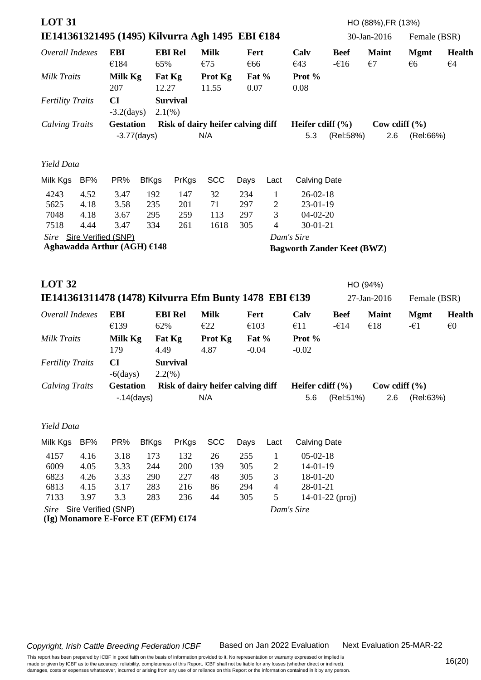| <b>LOT 31</b>                |                              |                                                                 |                          |                          |                                          |                            |                                          |                                                              |                       | HO (88%), FR (13%)           |                             |                               |
|------------------------------|------------------------------|-----------------------------------------------------------------|--------------------------|--------------------------|------------------------------------------|----------------------------|------------------------------------------|--------------------------------------------------------------|-----------------------|------------------------------|-----------------------------|-------------------------------|
|                              |                              | IE141361321495 (1495) Kilvurra Agh 1495 EBI €184                |                          |                          |                                          |                            |                                          |                                                              |                       | 30-Jan-2016                  | Female (BSR)                |                               |
| Overall Indexes              |                              | <b>EBI</b><br>€184                                              | 65%                      | <b>EBI Rel</b>           | <b>Milk</b><br>€75                       | Fert<br>€66                |                                          | Calv<br>€43                                                  | <b>Beef</b><br>$-616$ | <b>Maint</b><br>$\epsilon$ 7 | <b>Mgmt</b><br>$\epsilon$ 6 | <b>Health</b><br>$\epsilon$ 4 |
| <b>Milk Traits</b>           |                              | Milk Kg<br>207                                                  | 12.27                    | Fat Kg                   | <b>Prot Kg</b><br>11.55                  | Fat %<br>0.07              |                                          | Prot %<br>0.08                                               |                       |                              |                             |                               |
| <b>Fertility Traits</b>      |                              | CI<br>$-3.2$ (days)                                             | $2.1(\%)$                | <b>Survival</b>          |                                          |                            |                                          |                                                              |                       |                              |                             |                               |
| <b>Calving Traits</b>        |                              | <b>Gestation</b><br>$-3.77$ (days)                              |                          |                          | Risk of dairy heifer calving diff<br>N/A |                            |                                          | Heifer cdiff $(\% )$<br>5.3                                  | (Rel:58%)             | Cow cdiff $(\% )$<br>2.6     | (Rel:66%)                   |                               |
| Yield Data                   |                              |                                                                 |                          |                          |                                          |                            |                                          |                                                              |                       |                              |                             |                               |
| Milk Kgs                     | BF%                          | PR%                                                             | <b>BfKgs</b>             | PrKgs                    | <b>SCC</b>                               | Days                       | Lact                                     | <b>Calving Date</b>                                          |                       |                              |                             |                               |
| 4243<br>5625<br>7048<br>7518 | 4.52<br>4.18<br>4.18<br>4.44 | 3.47<br>3.58<br>3.67<br>3.47                                    | 192<br>235<br>295<br>334 | 147<br>201<br>259<br>261 | 32<br>71<br>113<br>1618                  | 234<br>297<br>297<br>305   | $\mathbf{1}$<br>$\overline{c}$<br>3<br>4 | $26 - 02 - 18$<br>$23-01-19$<br>$04-02-20$<br>$30 - 01 - 21$ |                       |                              |                             |                               |
|                              |                              | Sire Sire Verified (SNP)                                        |                          |                          |                                          |                            |                                          | Dam's Sire                                                   |                       |                              |                             |                               |
|                              |                              | Aghawadda Arthur (AGH) €148                                     |                          |                          |                                          |                            |                                          | <b>Bagworth Zander Keet (BWZ)</b>                            |                       |                              |                             |                               |
| <b>LOT 32</b>                |                              |                                                                 |                          |                          |                                          |                            |                                          |                                                              |                       | HO (94%)                     |                             |                               |
|                              |                              | IE141361311478 (1478) Kilvurra Efm Bunty 1478 EBI €139          |                          |                          |                                          |                            |                                          |                                                              |                       | 27-Jan-2016                  | Female (BSR)                |                               |
| Overall Indexes              |                              | <b>EBI</b>                                                      |                          | <b>EBI Rel</b>           | <b>Milk</b>                              | Fert                       |                                          | Calv                                                         | <b>Beef</b>           | <b>Maint</b>                 | <b>Mgmt</b>                 | <b>Health</b>                 |
| <b>Milk Traits</b>           |                              | €139<br>Milk Kg<br>179                                          | 62%<br>4.49              | Fat Kg                   | E22<br>Prot Kg<br>4.87                   | €103<br>Fat $%$<br>$-0.04$ |                                          | €11<br>Prot %<br>$-0.02$                                     | $-\epsilon$ 14        | €18                          | $-\epsilon$ 1               | $\epsilon$                    |
| <b>Fertility Traits</b>      |                              | CI<br>$-6$ (days)                                               | $2.2(\%)$                | <b>Survival</b>          |                                          |                            |                                          |                                                              |                       |                              |                             |                               |
| <b>Calving Traits</b>        |                              | <b>Gestation</b>                                                |                          |                          | Risk of dairy heifer calving diff        |                            |                                          | Heifer cdiff $(\% )$                                         |                       | Cow cdiff $(\% )$            |                             |                               |
|                              |                              | $-0.14$ (days)                                                  |                          |                          | N/A                                      |                            |                                          | 5.6                                                          | (Rel:51%)             | 2.6                          | (Rel:63%)                   |                               |
| Yield Data                   |                              |                                                                 |                          |                          |                                          |                            |                                          |                                                              |                       |                              |                             |                               |
| Milk Kgs                     | BF%                          | PR%                                                             | <b>BfKgs</b>             | PrKgs                    | <b>SCC</b>                               | Days                       | Lact                                     | <b>Calving Date</b>                                          |                       |                              |                             |                               |
| 4157<br>6009<br>6823<br>6813 | 4.16<br>4.05<br>4.26<br>4.15 | 3.18<br>3.33<br>3.33<br>3.17                                    | 173<br>244<br>290<br>283 | 132<br>200<br>227<br>216 | 26<br>139<br>48<br>86                    | 255<br>305<br>305<br>294   | $\mathbf{1}$<br>2<br>3<br>4              | $05-02-18$<br>14-01-19<br>18-01-20<br>28-01-21               |                       |                              |                             |                               |
| 7133                         | 3.97                         | 3.3                                                             | 283                      | 236                      | 44                                       | 305                        | 5                                        |                                                              | $14-01-22$ (proj)     |                              |                             |                               |
|                              |                              | Sire Sire Verified (SNP)<br>(Ig) Monamore E-Force ET (EFM) €174 |                          |                          |                                          |                            |                                          | Dam's Sire                                                   |                       |                              |                             |                               |

Next Evaluation 25-MAR-22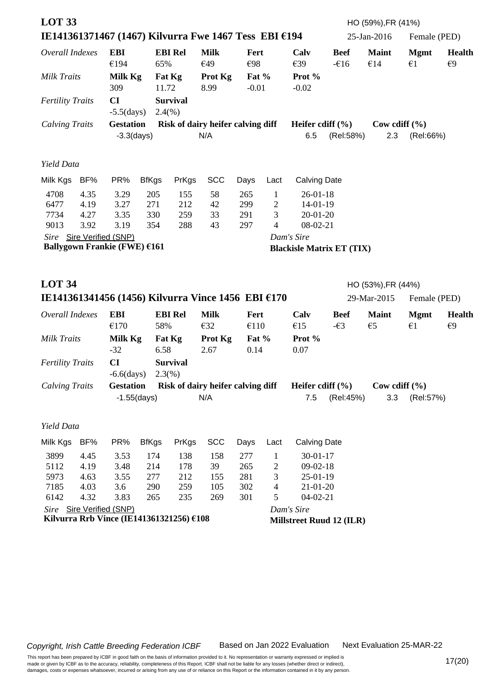| <b>LOT 33</b><br>IE141361371467 (1467) Kilvurra Fwe 1467 Tess EBI €194 |                              |                                                |                          |                                          |                                          |                          |                                              |                                                            |                              | HO (59%), FR (41%)<br>25-Jan-2016 | Female (PED)                |                               |
|------------------------------------------------------------------------|------------------------------|------------------------------------------------|--------------------------|------------------------------------------|------------------------------------------|--------------------------|----------------------------------------------|------------------------------------------------------------|------------------------------|-----------------------------------|-----------------------------|-------------------------------|
| Overall Indexes                                                        |                              | <b>EBI</b><br>€194                             | 65%                      | <b>EBI Rel</b>                           | <b>Milk</b><br>€49                       | Fert<br>€98              |                                              | Calv<br>€39                                                | <b>Beef</b><br>$-616$        | <b>Maint</b><br>€14               | <b>Mgmt</b><br>$\epsilon$ 1 | <b>Health</b><br>$\epsilon$ 9 |
| Milk Traits                                                            |                              | Milk Kg<br>309                                 | 11.72                    | Fat Kg                                   | Prot Kg<br>8.99                          | Fat $%$<br>$-0.01$       |                                              | Prot %<br>$-0.02$                                          |                              |                                   |                             |                               |
| <b>Fertility Traits</b>                                                |                              | CI<br>$-5.5$ (days)                            |                          | <b>Survival</b><br>2.4(%)                |                                          |                          |                                              |                                                            |                              |                                   |                             |                               |
| <b>Calving Traits</b>                                                  |                              | <b>Gestation</b><br>$-3.3$ (days)              |                          |                                          | Risk of dairy heifer calving diff<br>N/A |                          | Heifer cdiff $(\% )$<br>6.5                  | (Rel:58%)                                                  | Cow cdiff $(\% )$<br>2.3     | (Rel:66%)                         |                             |                               |
| Yield Data                                                             |                              |                                                |                          |                                          |                                          |                          |                                              |                                                            |                              |                                   |                             |                               |
| Milk Kgs                                                               | BF%                          | PR%                                            | <b>BfKgs</b>             | PrKgs                                    | <b>SCC</b>                               | Days                     | Lact                                         | <b>Calving Date</b>                                        |                              |                                   |                             |                               |
| 4708<br>6477<br>7734<br>9013                                           | 4.35<br>4.19<br>4.27<br>3.92 | 3.29<br>3.27<br>3.35<br>3.19                   | 205<br>271<br>330<br>354 | 155<br>212<br>259<br>288                 | 58<br>42<br>33<br>43                     | 265<br>299<br>291<br>297 | $\mathbf{1}$<br>$\overline{c}$<br>3<br>4     | $26 - 01 - 18$<br>$14-01-19$<br>$20 - 01 - 20$<br>08-02-21 |                              |                                   |                             |                               |
| Sire Sire Verified (SNP)<br>Ballygown Frankie (FWE) €161               |                              |                                                |                          |                                          |                                          |                          |                                              | Dam's Sire<br><b>Blackisle Matrix ET (TIX)</b>             |                              |                                   |                             |                               |
| <b>LOT 34</b>                                                          |                              |                                                |                          |                                          |                                          |                          |                                              |                                                            |                              | HO (53%), FR (44%)                |                             |                               |
| IE141361341456 (1456) Kilvurra Vince 1456 EBI €170                     |                              |                                                |                          |                                          |                                          |                          |                                              |                                                            |                              | 29-Mar-2015                       | Female (PED)                |                               |
| Overall Indexes                                                        |                              | <b>EBI</b><br>€170                             | 58%                      | <b>EBI Rel</b>                           | <b>Milk</b><br>E32                       | Fert<br>€110             |                                              | Calv<br>€15                                                | <b>Beef</b><br>$-\epsilon$ 3 | <b>Maint</b><br>$\epsilon$ 5      | <b>Mgmt</b><br>$\epsilon$ 1 | <b>Health</b><br>$\epsilon$ 9 |
| <b>Milk Traits</b>                                                     |                              | Milk Kg<br>$-32$                               | 6.58                     | Fat Kg                                   | Prot Kg<br>2.67                          | Fat $%$<br>0.14          |                                              | Prot %<br>0.07                                             |                              |                                   |                             |                               |
| <b>Fertility Traits</b>                                                |                              | CI<br>$-6.6$ $\frac{\text{days}}{\text{days}}$ |                          | <b>Survival</b><br>$2.3(\%)$             |                                          |                          |                                              |                                                            |                              |                                   |                             |                               |
| <b>Calving Traits</b>                                                  | <b>Gestation</b>             | $-1.55$ (days)                                 |                          | Risk of dairy heifer calving diff<br>N/A |                                          |                          | Heifer cdiff $(\% )$<br>7.5                  | (Rel:45%)                                                  | Cow cdiff $(\% )$<br>3.3     | (Rel:57%)                         |                             |                               |
| Yield Data                                                             |                              |                                                |                          |                                          |                                          |                          |                                              |                                                            |                              |                                   |                             |                               |
| Milk Kgs                                                               | BF%                          | PR%                                            | <b>BfKgs</b>             | PrKgs                                    | <b>SCC</b>                               | Days                     | Lact                                         | <b>Calving Date</b>                                        |                              |                                   |                             |                               |
| 3899<br>5112<br>5973                                                   | 4.45<br>4.19<br>4.63         | 3.53<br>3.48<br>3.55                           | 174<br>214<br>277        | 138<br>178<br>212                        | 158<br>39<br>155                         | 277<br>265<br>281        | $\mathbf{1}$<br>$\overline{\mathbf{c}}$<br>3 | $30 - 01 - 17$<br>$09-02-18$<br>$25-01-19$                 |                              |                                   |                             |                               |
| 7185<br>6142                                                           | 4.03<br>4.32                 | 3.6<br>3.83                                    | 290<br>265               | 259<br>235                               | 105<br>269                               | 302<br>301               | $\overline{\mathcal{A}}$<br>5                | $21 - 01 - 20$<br>$04-02-21$                               |                              |                                   |                             |                               |
| Sire Sire Verified (SNP)<br>Kilvurra Rrb Vince (IE141361321256) €108   |                              |                                                |                          |                                          |                                          |                          |                                              | Dam's Sire<br><b>Millstreet Ruud 12 (ILR)</b>              |                              |                                   |                             |                               |

Next Evaluation 25-MAR-22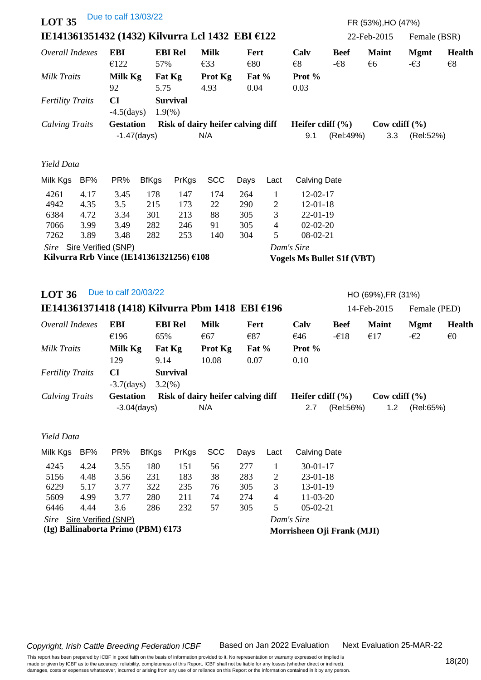| <b>LOT 35</b>           |      | Due to calf 13/03/22                                                 |                |                         |                                                  |               |                          |                                   |                              | FR (53%), HO (47%)                |                              |                        |
|-------------------------|------|----------------------------------------------------------------------|----------------|-------------------------|--------------------------------------------------|---------------|--------------------------|-----------------------------------|------------------------------|-----------------------------------|------------------------------|------------------------|
|                         |      |                                                                      |                |                         | IE141361351432 (1432) Kilvurra Lcl 1432 EBI €122 |               |                          |                                   |                              | 22-Feb-2015                       | Female (BSR)                 |                        |
| Overall Indexes         |      | <b>EBI</b><br>€122                                                   | 57%            | <b>EBI Rel</b>          | <b>Milk</b><br>€33                               | Fert<br>€80   |                          | Calv<br>$\epsilon$                | <b>Beef</b><br>$-\epsilon$ 8 | <b>Maint</b><br>€6                | <b>Mgmt</b><br>$-\epsilon$ 3 | Health<br>$\epsilon$ 8 |
| <b>Milk Traits</b>      |      | Milk Kg<br>92                                                        | 5.75           | Fat Kg                  | Prot Kg<br>4.93                                  | Fat %<br>0.04 |                          | Prot %<br>0.03                    |                              |                                   |                              |                        |
| <b>Fertility Traits</b> |      | CI<br>$-4.5 \,(days)$                                                |                | <b>Survival</b><br>1.9% |                                                  |               |                          |                                   |                              |                                   |                              |                        |
| <b>Calving Traits</b>   |      | <b>Gestation</b>                                                     |                |                         | Risk of dairy heifer calving diff                |               |                          | Heifer cdiff $(\% )$              |                              | Cow cdiff $(\% )$                 |                              |                        |
|                         |      |                                                                      | $-1.47$ (days) |                         | N/A                                              |               |                          | 9.1                               | (Rel:49%)                    | 3.3                               | (Rel:52%)                    |                        |
| Yield Data              |      |                                                                      |                |                         |                                                  |               |                          |                                   |                              |                                   |                              |                        |
| Milk Kgs                | BF%  | PR%                                                                  | <b>BfKgs</b>   | PrKgs                   | <b>SCC</b>                                       | Days          | Lact                     | <b>Calving Date</b>               |                              |                                   |                              |                        |
| 4261                    | 4.17 | 3.45                                                                 | 178            | 147                     | 174                                              | 264           | $\mathbf{1}$             | 12-02-17                          |                              |                                   |                              |                        |
| 4942                    | 4.35 | 3.5                                                                  | 215            | 173                     | 22                                               | 290           | $\overline{c}$           | $12 - 01 - 18$                    |                              |                                   |                              |                        |
| 6384                    | 4.72 | 3.34                                                                 | 301            | 213                     | 88                                               | 305           | 3                        | $22-01-19$                        |                              |                                   |                              |                        |
| 7066                    | 3.99 | 3.49                                                                 | 282            | 246                     | 91                                               | 305           | 4                        | $02 - 02 - 20$                    |                              |                                   |                              |                        |
| 7262                    | 3.89 | 3.48                                                                 | 282            | 253                     | 140                                              | 304           | 5                        | 08-02-21                          |                              |                                   |                              |                        |
|                         |      | Sire Sire Verified (SNP)<br>Kilvurra Rrb Vince (IE141361321256) €108 |                |                         |                                                  |               |                          | Dam's Sire                        |                              |                                   |                              |                        |
|                         |      |                                                                      |                |                         |                                                  |               |                          | <b>Vogels Ms Bullet S1f (VBT)</b> |                              |                                   |                              |                        |
| <b>LOT 36</b>           |      | Due to calf 20/03/22                                                 |                |                         | IE141361371418 (1418) Kilvurra Pbm 1418 EBI €196 |               |                          |                                   |                              | HO (69%), FR (31%)<br>14-Feb-2015 | Female (PED)                 |                        |
| Overall Indexes         |      | <b>EBI</b>                                                           |                | <b>EBI Rel</b>          | <b>Milk</b>                                      | Fert          |                          | Calv                              | <b>Beef</b>                  | <b>Maint</b>                      | <b>Mgmt</b>                  | <b>Health</b>          |
|                         |      | €196                                                                 | 65%            |                         | €67                                              | €87           |                          | €46                               | $-\epsilon$ 18               | €17                               | $-\epsilon$ 2                | $\epsilon$             |
| <b>Milk Traits</b>      |      | Milk Kg                                                              |                | Fat Kg                  | Prot Kg                                          | Fat %         |                          | Prot %                            |                              |                                   |                              |                        |
|                         |      | 129                                                                  | 9.14           |                         | 10.08                                            | 0.07          |                          | 0.10                              |                              |                                   |                              |                        |
| <b>Fertility Traits</b> |      | <b>CI</b>                                                            |                | <b>Survival</b>         |                                                  |               |                          |                                   |                              |                                   |                              |                        |
|                         |      | $-3.7$ (days)                                                        |                | 3.2(%)                  |                                                  |               |                          |                                   |                              |                                   |                              |                        |
| <b>Calving Traits</b>   |      | <b>Gestation</b>                                                     |                |                         | Risk of dairy heifer calving diff                |               |                          | Heifer cdiff $(\% )$              |                              | Cow cdiff $(\% )$                 |                              |                        |
|                         |      |                                                                      | $-3.04$ (days) |                         | N/A                                              |               |                          | 2.7                               | (Rel:56%)                    | 1.2                               | (Rel:65%)                    |                        |
| Yield Data              |      |                                                                      |                |                         |                                                  |               |                          |                                   |                              |                                   |                              |                        |
| Milk Kgs                | BF%  | PR%                                                                  | <b>BfKgs</b>   | PrKgs                   | <b>SCC</b>                                       | Days          | Lact                     | <b>Calving Date</b>               |                              |                                   |                              |                        |
| 4245                    | 4.24 | 3.55                                                                 | 180            | 151                     | 56                                               | 277           | $\mathbf{1}$             | $30 - 01 - 17$                    |                              |                                   |                              |                        |
| 5156                    | 4.48 | 3.56                                                                 | 231            | 183                     | 38                                               | 283           | $\overline{c}$           | $23 - 01 - 18$                    |                              |                                   |                              |                        |
| 6229                    | 5.17 | 3.77                                                                 | 322            | 235                     | 76                                               | 305           | 3                        | 13-01-19                          |                              |                                   |                              |                        |
| 5609                    | 4.99 | 3.77                                                                 | 280            | 211                     | 74                                               | 274           | $\overline{\mathcal{A}}$ | $11-03-20$                        |                              |                                   |                              |                        |
| 6446                    | 4.44 | 3.6                                                                  | 286            | 232                     | 57                                               | 305           | 5                        | $05-02-21$                        |                              |                                   |                              |                        |
|                         |      | Sire Sire Verified (SNP)                                             |                |                         |                                                  |               |                          | Dam's Sire                        |                              |                                   |                              |                        |
|                         |      | (Ig) Ballinaborta Primo (PBM) €173                                   |                |                         |                                                  |               |                          | Morrisheen Oji Frank (MJI)        |                              |                                   |                              |                        |
|                         |      |                                                                      |                |                         |                                                  |               |                          |                                   |                              |                                   |                              |                        |

Next Evaluation 25-MAR-22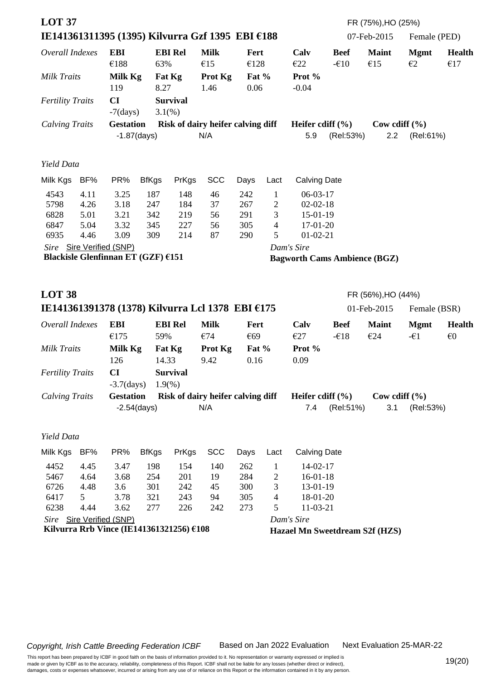| <b>LOT 37</b>           |      |                                          |                |                 |                                                  |               |                |                                     |                       | FR (75%), HO (25%)  |                   |                         |
|-------------------------|------|------------------------------------------|----------------|-----------------|--------------------------------------------------|---------------|----------------|-------------------------------------|-----------------------|---------------------|-------------------|-------------------------|
|                         |      |                                          |                |                 | IE141361311395 (1395) Kilvurra Gzf 1395 EBI €188 |               |                |                                     |                       | 07-Feb-2015         | Female (PED)      |                         |
| Overall Indexes         |      | <b>EBI</b><br>€188                       | 63%            | <b>EBI Rel</b>  | <b>Milk</b><br>€15                               | Fert<br>€128  |                | Calv<br>E22                         | <b>Beef</b><br>$-610$ | <b>Maint</b><br>€15 | <b>Mgmt</b><br>E2 | <b>Health</b><br>€17    |
| Milk Traits             |      | Milk Kg<br>119                           | 8.27           | Fat Kg          | Prot Kg<br>1.46                                  | Fat %<br>0.06 |                | Prot %<br>$-0.04$                   |                       |                     |                   |                         |
| <b>Fertility Traits</b> |      | CI<br>$-7$ (days)                        | 3.1%           | <b>Survival</b> |                                                  |               |                |                                     |                       |                     |                   |                         |
| <b>Calving Traits</b>   |      | <b>Gestation</b>                         |                |                 | Risk of dairy heifer calving diff                |               |                | Heifer cdiff $(\% )$                |                       | Cow cdiff $(\% )$   |                   |                         |
|                         |      |                                          | $-1.87$ (days) |                 | N/A                                              |               |                | 5.9                                 | (Rel:53%)             | 2.2                 | (Rel:61%)         |                         |
| Yield Data              |      |                                          |                |                 |                                                  |               |                |                                     |                       |                     |                   |                         |
| Milk Kgs                | BF%  | PR%                                      | <b>BfKgs</b>   | PrKgs           | <b>SCC</b>                                       | Days          | Lact           | <b>Calving Date</b>                 |                       |                     |                   |                         |
| 4543                    | 4.11 | 3.25                                     | 187            | 148             | 46                                               | 242           | $\mathbf{1}$   | $06-03-17$                          |                       |                     |                   |                         |
| 5798                    | 4.26 | 3.18                                     | 247            | 184             | 37                                               | 267           | $\overline{2}$ | $02 - 02 - 18$                      |                       |                     |                   |                         |
| 6828                    | 5.01 | 3.21                                     | 342            | 219             | 56                                               | 291           | 3              | 15-01-19                            |                       |                     |                   |                         |
| 6847                    | 5.04 | 3.32                                     | 345            | 227             | 56                                               | 305           | $\overline{4}$ | 17-01-20                            |                       |                     |                   |                         |
| 6935                    | 4.46 | 3.09                                     | 309            | 214             | 87                                               | 290           | 5              | $01-02-21$                          |                       |                     |                   |                         |
|                         |      | Sire Sire Verified (SNP)                 |                |                 |                                                  |               |                | Dam's Sire                          |                       |                     |                   |                         |
|                         |      | Blackisle Glenfinnan ET (GZF) €151       |                |                 |                                                  |               |                | <b>Bagworth Cams Ambience (BGZ)</b> |                       |                     |                   |                         |
|                         |      |                                          |                |                 |                                                  |               |                |                                     |                       |                     |                   |                         |
| <b>LOT 38</b>           |      |                                          |                |                 |                                                  |               |                |                                     |                       | FR (56%), HO (44%)  |                   |                         |
|                         |      |                                          |                |                 | IE141361391378 (1378) Kilvurra Lcl 1378 EBI €175 |               |                |                                     |                       | 01-Feb-2015         | Female (BSR)      |                         |
| Overall Indexes         |      | <b>EBI</b>                               |                | <b>EBI Rel</b>  | <b>Milk</b>                                      | <b>Fert</b>   |                | Calv                                | <b>Beef</b>           | <b>Maint</b>        | <b>Mgmt</b>       | <b>Health</b>           |
|                         |      | €175                                     | 59%            |                 | €74                                              | €69           |                | E27                                 | $-\epsilon$ 18        | €24                 | $-\epsilon$ 1     | $\epsilon$ <sup>0</sup> |
| <b>Milk Traits</b>      |      | Milk Kg                                  |                | Fat Kg          | Prot Kg                                          | Fat %         |                | Prot %                              |                       |                     |                   |                         |
|                         |      | 126                                      | 14.33          |                 | 9.42                                             | 0.16          |                | 0.09                                |                       |                     |                   |                         |
| <b>Fertility Traits</b> |      | CI                                       |                | <b>Survival</b> |                                                  |               |                |                                     |                       |                     |                   |                         |
|                         |      | $-3.7$ (days)                            |                | 1.9%            |                                                  |               |                |                                     |                       |                     |                   |                         |
| <b>Calving Traits</b>   |      | <b>Gestation</b>                         |                |                 | Risk of dairy heifer calving diff                |               |                | Heifer cdiff $(\% )$                |                       | Cow cdiff $(\% )$   |                   |                         |
|                         |      | $-2.54$ (days)                           |                |                 | N/A                                              |               |                | 7.4                                 | (Rel:51%)             | 3.1                 | (Rel:53%)         |                         |
| Yield Data              |      |                                          |                |                 |                                                  |               |                |                                     |                       |                     |                   |                         |
| Milk Kgs                | BF%  | PR%                                      | <b>BfKgs</b>   | PrKgs           | <b>SCC</b>                                       | Days          | Lact           | <b>Calving Date</b>                 |                       |                     |                   |                         |
| 4452                    | 4.45 | 3.47                                     | 198            | 154             | 140                                              | 262           | $\mathbf{1}$   | 14-02-17                            |                       |                     |                   |                         |
| 5467                    | 4.64 | 3.68                                     | 254            | 201             | 19                                               | 284           | $\overline{c}$ | $16-01-18$                          |                       |                     |                   |                         |
| 6726                    | 4.48 | 3.6                                      | 301            | 242             | 45                                               | 300           | 3              | 13-01-19                            |                       |                     |                   |                         |
| 6417                    | 5    | 3.78                                     | 321            | 243             | 94                                               | 305           | 4              | 18-01-20                            |                       |                     |                   |                         |
| 6238                    | 4.44 | 3.62                                     | 277            | 226             | 242                                              | 273           | 5              | 11-03-21                            |                       |                     |                   |                         |
|                         |      | Sire Sire Verified (SNP)                 |                |                 |                                                  |               |                | Dam's Sire                          |                       |                     |                   |                         |
|                         |      | Kilvurra Rrb Vince (IE141361321256) €108 |                |                 |                                                  |               |                | Hazael Mn Sweetdream S2f (HZS)      |                       |                     |                   |                         |
|                         |      |                                          |                |                 |                                                  |               |                |                                     |                       |                     |                   |                         |

Next Evaluation 25-MAR-22